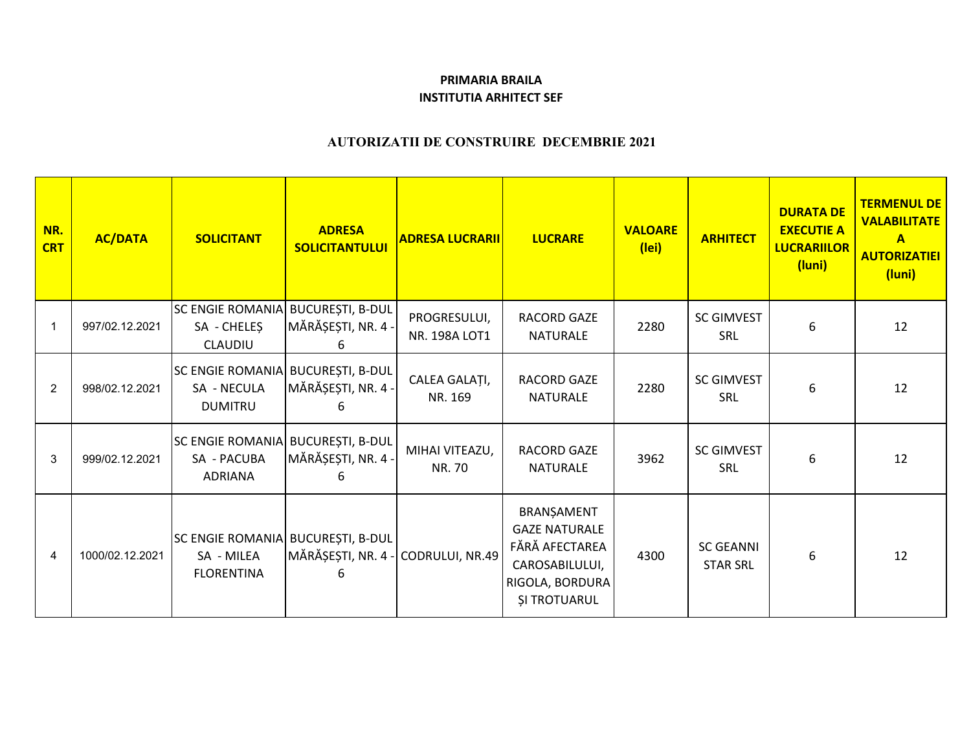## **PRIMARIA BRAILAINSTITUTIA ARHITECT SEF**

## **AUTORIZATII DE CONSTRUIRE DECEMBRIE 2021**

| NR.<br><b>CRT</b> | <b>AC/DATA</b>  | <b>SOLICITANT</b>                                                    | <b>ADRESA</b><br><b>SOLICITANTULUI</b>             | <b>ADRESA LUCRARII</b>        | <b>LUCRARE</b>                                                                                                   | <b>VALOARE</b><br>(lei) | <b>ARHITECT</b>                     | <b>DURATA DE</b><br><b>EXECUTIE A</b><br><b>LUCRARIILOR</b><br>(luni) | <b>TERMENUL DE</b><br><b>VALABILITATE</b><br>$\mathbf{A}$<br><b>AUTORIZATIEI</b><br>(luni) |
|-------------------|-----------------|----------------------------------------------------------------------|----------------------------------------------------|-------------------------------|------------------------------------------------------------------------------------------------------------------|-------------------------|-------------------------------------|-----------------------------------------------------------------------|--------------------------------------------------------------------------------------------|
|                   | 997/02.12.2021  | <b>SC ENGIE ROMANIA</b><br>SA - CHELEŞ<br>CLAUDIU                    | <b>BUCUREȘTI, B-DUL</b><br>MĂRĂȘEȘTI, NR. 4 -<br>6 | PROGRESULUI,<br>NR. 198A LOT1 | <b>RACORD GAZE</b><br><b>NATURALE</b>                                                                            | 2280                    | <b>SC GIMVEST</b><br>SRL            | 6                                                                     | 12                                                                                         |
| $\overline{2}$    | 998/02.12.2021  | SC ENGIE ROMANIA BUCUREȘTI, B-DUL<br>SA - NECULA<br><b>DUMITRU</b>   | MĂRĂȘEȘTI, NR. 4 -                                 | CALEA GALAȚI,<br>NR. 169      | RACORD GAZE<br><b>NATURALE</b>                                                                                   | 2280                    | <b>SC GIMVEST</b><br><b>SRL</b>     | 6                                                                     | 12                                                                                         |
| 3                 | 999/02.12.2021  | SC ENGIE ROMANIA BUCUREȘTI, B-DUL<br>SA - PACUBA<br><b>ADRIANA</b>   | MĂRĂȘEȘTI, NR. 4 -                                 | MIHAI VITEAZU,<br>NR. 70      | <b>RACORD GAZE</b><br><b>NATURALE</b>                                                                            | 3962                    | <b>SC GIMVEST</b><br>SRL            | 6                                                                     | 12                                                                                         |
| $\overline{4}$    | 1000/02.12.2021 | SC ENGIE ROMANIA BUCUREȘTI, B-DUL<br>SA - MILEA<br><b>FLORENTINA</b> | MĂRĂȘEȘTI, NR. 4 - CODRULUI, NR.49<br>6            |                               | BRANŞAMENT<br><b>GAZE NATURALE</b><br>FĂRĂ AFECTAREA<br>CAROSABILULUI,<br>RIGOLA, BORDURA<br><b>ȘI TROTUARUL</b> | 4300                    | <b>SC GEANNI</b><br><b>STAR SRL</b> | 6                                                                     | 12                                                                                         |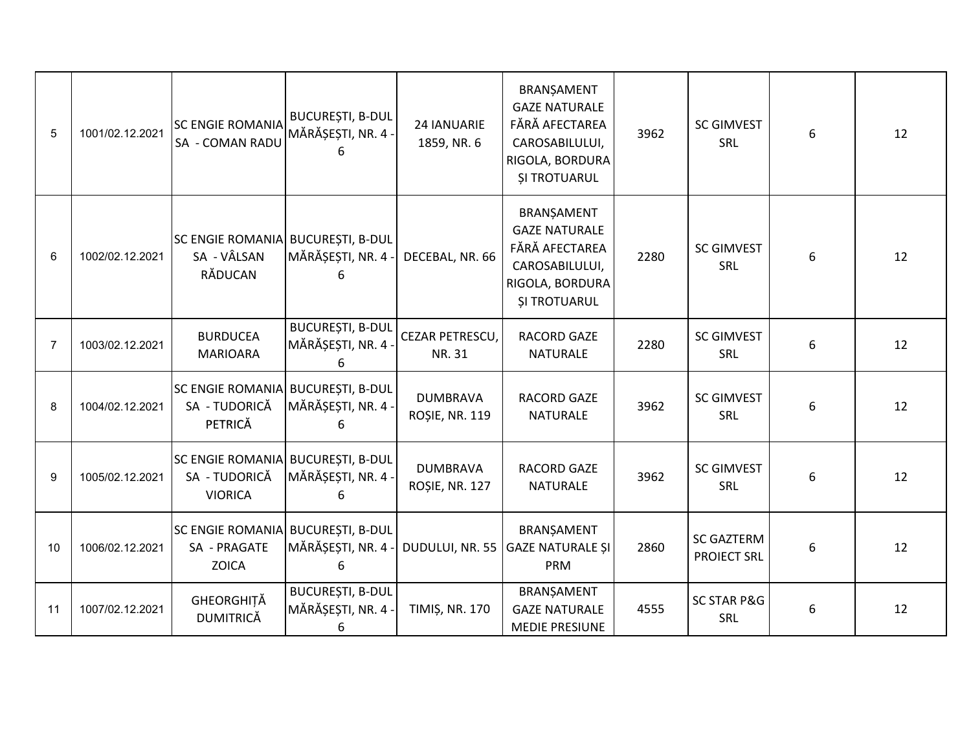| 5               | 1001/02.12.2021 | <b>SC ENGIE ROMANIA</b><br>SA - COMAN RADU                           | <b>BUCUREȘTI, B-DUL</b><br>MĂRĂȘEȘTI, NR. 4 -<br>6 | 24 IANUARIE<br>1859, NR. 6               | BRANŞAMENT<br><b>GAZE NATURALE</b><br>FĂRĂ AFECTAREA<br>CAROSABILULUI,<br>RIGOLA, BORDURA<br><b>ȘI TROTUARUL</b> | 3962 | <b>SC GIMVEST</b><br>SRL                | 6 | 12 |
|-----------------|-----------------|----------------------------------------------------------------------|----------------------------------------------------|------------------------------------------|------------------------------------------------------------------------------------------------------------------|------|-----------------------------------------|---|----|
| $6\phantom{1}6$ | 1002/02.12.2021 | SC ENGIE ROMANIA BUCUREȘTI, B-DUL<br>SA - VÂLSAN<br>RĂDUCAN          | MĂRĂȘEȘTI, NR. 4 -                                 | DECEBAL, NR. 66                          | BRANȘAMENT<br><b>GAZE NATURALE</b><br>FĂRĂ AFECTAREA<br>CAROSABILULUI,<br>RIGOLA, BORDURA<br><b>ȘI TROTUARUL</b> | 2280 | <b>SC GIMVEST</b><br>SRL                | 6 | 12 |
| $\overline{7}$  | 1003/02.12.2021 | <b>BURDUCEA</b><br><b>MARIOARA</b>                                   | <b>BUCUREȘTI, B-DUL</b><br>MĂRĂȘEȘTI, NR. 4 -<br>6 | CEZAR PETRESCU,<br>NR. 31                | <b>RACORD GAZE</b><br><b>NATURALE</b>                                                                            | 2280 | <b>SC GIMVEST</b><br>SRL                | 6 | 12 |
| 8               | 1004/02.12.2021 | <b>SC ENGIE ROMANIA</b><br>SA - TUDORICĂ<br>PETRICĂ                  | <b>BUCUREȘTI, B-DUL</b><br>MĂRĂȘEȘTI, NR. 4 -<br>6 | <b>DUMBRAVA</b><br><b>ROȘIE, NR. 119</b> | <b>RACORD GAZE</b><br><b>NATURALE</b>                                                                            | 3962 | <b>SC GIMVEST</b><br>SRL                | 6 | 12 |
| 9               | 1005/02.12.2021 | SC ENGIE ROMANIA BUCUREȘTI, B-DUL<br>SA - TUDORICĂ<br><b>VIORICA</b> | MĂRĂȘEȘTI, NR. 4 -<br>6                            | <b>DUMBRAVA</b><br><b>ROȘIE, NR. 127</b> | <b>RACORD GAZE</b><br><b>NATURALE</b>                                                                            | 3962 | <b>SC GIMVEST</b><br>SRL                | 6 | 12 |
| 10              | 1006/02.12.2021 | SC ENGIE ROMANIA BUCURESTI, B-DUL<br>SA - PRAGATE<br><b>ZOICA</b>    | MĂRĂȘEȘTI, NR. 4 -<br>6                            | DUDULUI, NR. 55                          | BRANȘAMENT<br><b>GAZE NATURALE ȘI</b><br>PRM                                                                     | 2860 | <b>SC GAZTERM</b><br><b>PROIECT SRL</b> | 6 | 12 |
| 11              | 1007/02.12.2021 | GHEORGHITĂ<br><b>DUMITRICĂ</b>                                       | <b>BUCUREȘTI, B-DUL</b><br>MĂRĂȘEȘTI, NR. 4 -<br>6 | <b>TIMIȘ, NR. 170</b>                    | BRANŞAMENT<br><b>GAZE NATURALE</b><br><b>MEDIE PRESIUNE</b>                                                      | 4555 | <b>SC STAR P&amp;G</b><br>SRL           | 6 | 12 |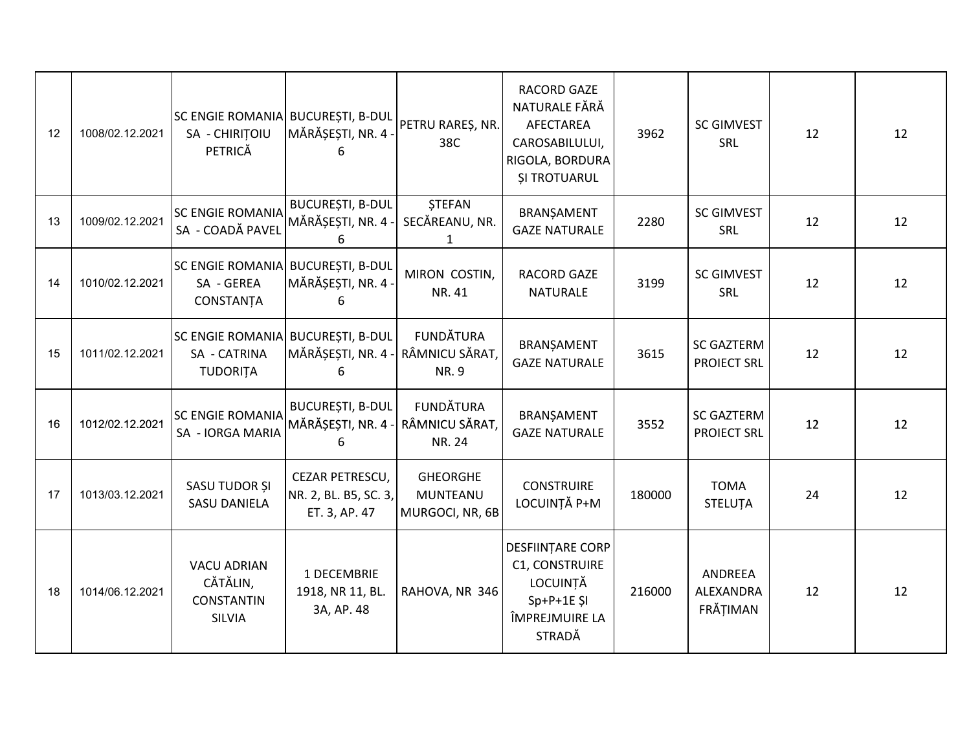| 12 | 1008/02.12.2021 | SC ENGIE ROMANIA BUCUREȘTI, B-DUL<br>SA - CHIRITOIU<br>PETRICĂ       | MĂRĂȘEȘTI, NR. 4 -<br>6                                           | PETRU RAREȘ, NR.<br>38C                        | RACORD GAZE<br>NATURALE FĂRĂ<br>AFECTAREA<br>CAROSABILULUI,<br>RIGOLA, BORDURA<br><b>SI TROTUARUL</b> | 3962   | <b>SC GIMVEST</b><br>SRL                | 12 | 12 |
|----|-----------------|----------------------------------------------------------------------|-------------------------------------------------------------------|------------------------------------------------|-------------------------------------------------------------------------------------------------------|--------|-----------------------------------------|----|----|
| 13 | 1009/02.12.2021 | <b>SC ENGIE ROMANIA</b><br>SA - COADĂ PAVEL                          | <b>BUCUREȘTI, B-DUL</b><br>MĂRĂȘEȘTI, NR. 4 -<br>6                | <b>STEFAN</b><br>SECĂREANU, NR.<br>1           | BRANȘAMENT<br><b>GAZE NATURALE</b>                                                                    | 2280   | <b>SC GIMVEST</b><br>SRL                | 12 | 12 |
| 14 | 1010/02.12.2021 | SC ENGIE ROMANIA BUCUREȘTI, B-DUL<br>SA - GEREA<br>CONSTANȚA         | MĂRĂȘEȘTI, NR. 4 -<br>6                                           | MIRON COSTIN,<br>NR. 41                        | <b>RACORD GAZE</b><br><b>NATURALE</b>                                                                 | 3199   | <b>SC GIMVEST</b><br>SRL                | 12 | 12 |
| 15 | 1011/02.12.2021 | SC ENGIE ROMANIA BUCUREȘTI, B-DUL<br>SA - CATRINA<br><b>TUDORITA</b> | MĂRĂȘEȘTI, NR. 4 - RÂMNICU SĂRAT,<br>6                            | <b>FUNDĂTURA</b><br><b>NR.9</b>                | BRANȘAMENT<br><b>GAZE NATURALE</b>                                                                    | 3615   | <b>SC GAZTERM</b><br><b>PROIECT SRL</b> | 12 | 12 |
| 16 | 1012/02.12.2021 | <b>SC ENGIE ROMANIA</b><br>SA - IORGA MARIA                          | <b>BUCUREȘTI, B-DUL</b><br>MĂRĂȘEȘTI, NR. 4 - RÂMNICU SĂRAT,<br>6 | <b>FUNDĂTURA</b><br>NR. 24                     | BRANȘAMENT<br><b>GAZE NATURALE</b>                                                                    | 3552   | <b>SC GAZTERM</b><br><b>PROIECT SRL</b> | 12 | 12 |
| 17 | 1013/03.12.2021 | SASU TUDOR ȘI<br><b>SASU DANIELA</b>                                 | CEZAR PETRESCU,<br>NR. 2, BL. B5, SC. 3,<br>ET. 3, AP. 47         | <b>GHEORGHE</b><br>MUNTEANU<br>MURGOCI, NR, 6B | <b>CONSTRUIRE</b><br>LOCUINȚĂ P+M                                                                     | 180000 | <b>TOMA</b><br>STELUȚA                  | 24 | 12 |
| 18 | 1014/06.12.2021 | <b>VACU ADRIAN</b><br>CĂTĂLIN,<br><b>CONSTANTIN</b><br>SILVIA        | 1 DECEMBRIE<br>1918, NR 11, BL.<br>3A, AP. 48                     | RAHOVA, NR 346                                 | DESFIINTARE CORP<br>C1, CONSTRUIRE<br>LOCUINTĂ<br>$Sp+P+1E SI$<br>ÎMPREJMUIRE LA<br>STRADĂ            | 216000 | ANDREEA<br>ALEXANDRA<br>FRĂȚIMAN        | 12 | 12 |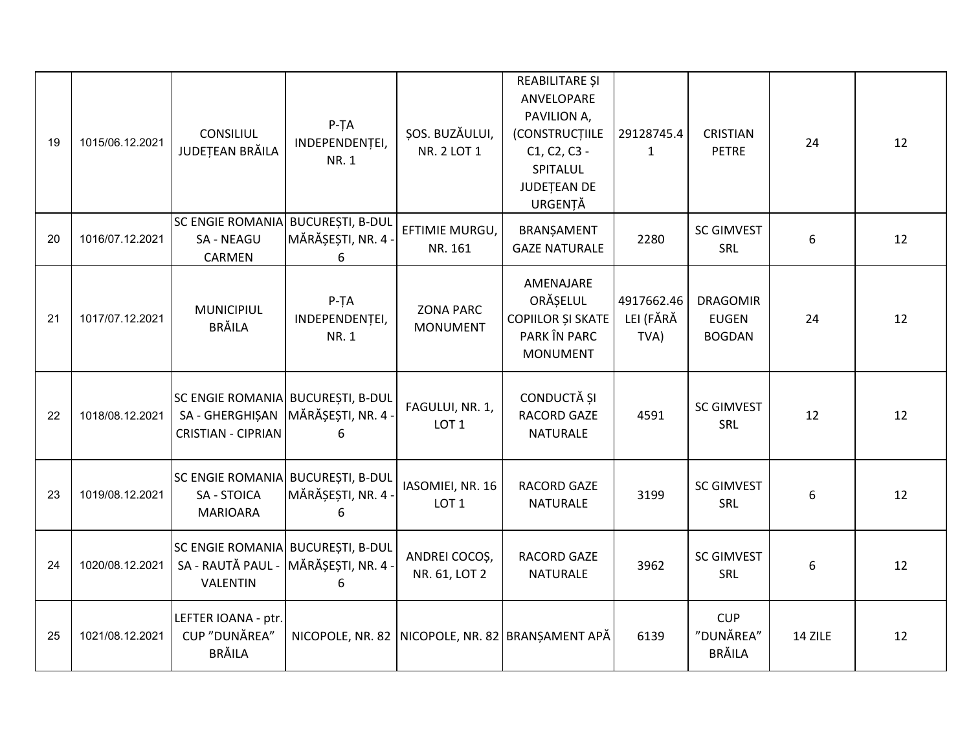| 19 | 1015/06.12.2021 | <b>CONSILIUL</b><br>JUDEȚEAN BRĂILA                                                   | $P-TA$<br>INDEPENDENȚEI,<br><b>NR.1</b> | ȘOS. BUZĂULUI,<br>NR. 2 LOT 1        | REABILITARE ȘI<br>ANVELOPARE<br>PAVILION A,<br>(CONSTRUCTIILE<br>C1, C2, C3 -<br>SPITALUL<br>JUDEȚEAN DE<br>URGENȚĂ | 29128745.4<br>$\mathbf{1}$      | <b>CRISTIAN</b><br><b>PETRE</b>                  | 24      | 12 |
|----|-----------------|---------------------------------------------------------------------------------------|-----------------------------------------|--------------------------------------|---------------------------------------------------------------------------------------------------------------------|---------------------------------|--------------------------------------------------|---------|----|
| 20 | 1016/07.12.2021 | SC ENGIE ROMANIA BUCUREȘTI, B-DUL<br><b>SA - NEAGU</b><br>CARMEN                      | MĂRĂȘEȘTI, NR. 4 ·<br>6                 | EFTIMIE MURGU,<br>NR. 161            | BRANȘAMENT<br><b>GAZE NATURALE</b>                                                                                  | 2280                            | <b>SC GIMVEST</b><br>SRL                         | 6       | 12 |
| 21 | 1017/07.12.2021 | <b>MUNICIPIUL</b><br><b>BRĂILA</b>                                                    | $P-TA$<br>INDEPENDENȚEI,<br><b>NR.1</b> | <b>ZONA PARC</b><br><b>MONUMENT</b>  | AMENAJARE<br>ORĂȘELUL<br>COPIILOR ȘI SKATE<br>PARK ÎN PARC<br><b>MONUMENT</b>                                       | 4917662.46<br>LEI (FĂRĂ<br>TVA) | <b>DRAGOMIR</b><br><b>EUGEN</b><br><b>BOGDAN</b> | 24      | 12 |
| 22 | 1018/08.12.2021 | SC ENGIE ROMANIA BUCUREȘTI, B-DUL<br>SA - GHERGHIŞAN<br><b>CRISTIAN - CIPRIAN</b>     | MĂRĂȘEȘTI, NR. 4 -<br>6                 | FAGULUI, NR. 1,<br>LOT <sub>1</sub>  | CONDUCTĂ ȘI<br><b>RACORD GAZE</b><br><b>NATURALE</b>                                                                | 4591                            | <b>SC GIMVEST</b><br>SRL                         | 12      | 12 |
| 23 | 1019/08.12.2021 | SC ENGIE ROMANIA BUCUREȘTI, B-DUL<br><b>SA - STOICA</b><br><b>MARIOARA</b>            | MĂRĂȘEȘTI, NR. 4 ·<br>6                 | IASOMIEI, NR. 16<br>LOT <sub>1</sub> | <b>RACORD GAZE</b><br><b>NATURALE</b>                                                                               | 3199                            | <b>SC GIMVEST</b><br>SRL                         | 6       | 12 |
| 24 | 1020/08.12.2021 | SC ENGIE ROMANIA BUCUREȘTI, B-DUL<br>SA - RAUTĂ PAUL - MĂRĂȘEȘTI, NR. 4 -<br>VALENTIN | 6                                       | ANDREI COCOȘ,<br>NR. 61, LOT 2       | <b>RACORD GAZE</b><br><b>NATURALE</b>                                                                               | 3962                            | <b>SC GIMVEST</b><br>SRL                         | 6       | 12 |
| 25 | 1021/08.12.2021 | LEFTER IOANA - ptr.<br>CUP "DUNĂREA"<br><b>BRĂILA</b>                                 |                                         |                                      | NICOPOLE, NR. 82 NICOPOLE, NR. 82 BRANSAMENT APĂ                                                                    | 6139                            | <b>CUP</b><br>"DUNĂREA"<br><b>BRĂILA</b>         | 14 ZILE | 12 |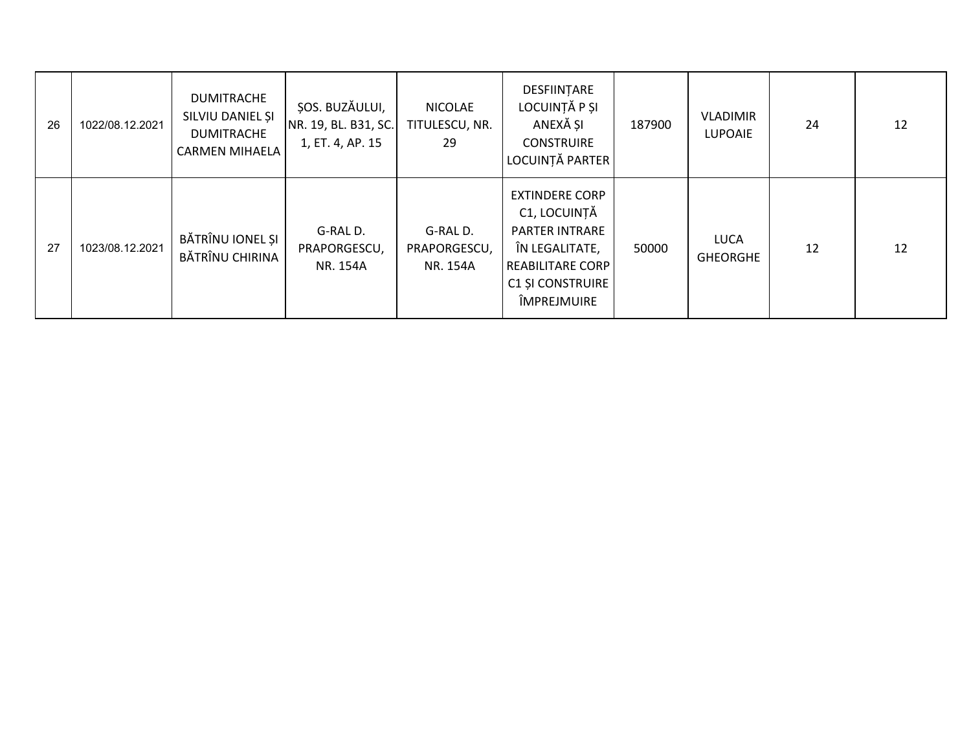| 26 | 1022/08.12.2021 | <b>DUMITRACHE</b><br>SILVIU DANIEL ȘI<br><b>DUMITRACHE</b><br><b>CARMEN MIHAELA</b> | ȘOS. BUZĂULUI,<br>NR. 19, BL. B31, SC.<br>1, ET. 4, AP. 15 | <b>NICOLAE</b><br>TITULESCU, NR.<br>29 | DESFIINȚARE<br>LOCUINȚĂ P ȘI<br>ANEXĂ ȘI<br><b>CONSTRUIRE</b><br>LOCUINȚĂ PARTER                                                                      | 187900 | <b>VLADIMIR</b><br><b>LUPOAIE</b> | 24 | 12 |
|----|-----------------|-------------------------------------------------------------------------------------|------------------------------------------------------------|----------------------------------------|-------------------------------------------------------------------------------------------------------------------------------------------------------|--------|-----------------------------------|----|----|
| 27 | 1023/08.12.2021 | BĂTRÎNU IONEL ȘI<br>BĂTRÎNU CHIRINA                                                 | G-RAL D.<br>PRAPORGESCU,<br>NR. 154A                       | G-RAL D.<br>PRAPORGESCU,<br>NR. 154A   | <b>EXTINDERE CORP</b><br>C1, LOCUINȚĂ<br><b>PARTER INTRARE</b><br>ÎN LEGALITATE,<br><b>REABILITARE CORP</b><br><b>C1 ȘI CONSTRUIRE</b><br>ÎMPREJMUIRE | 50000  | LUCA<br><b>GHEORGHE</b>           | 12 | 12 |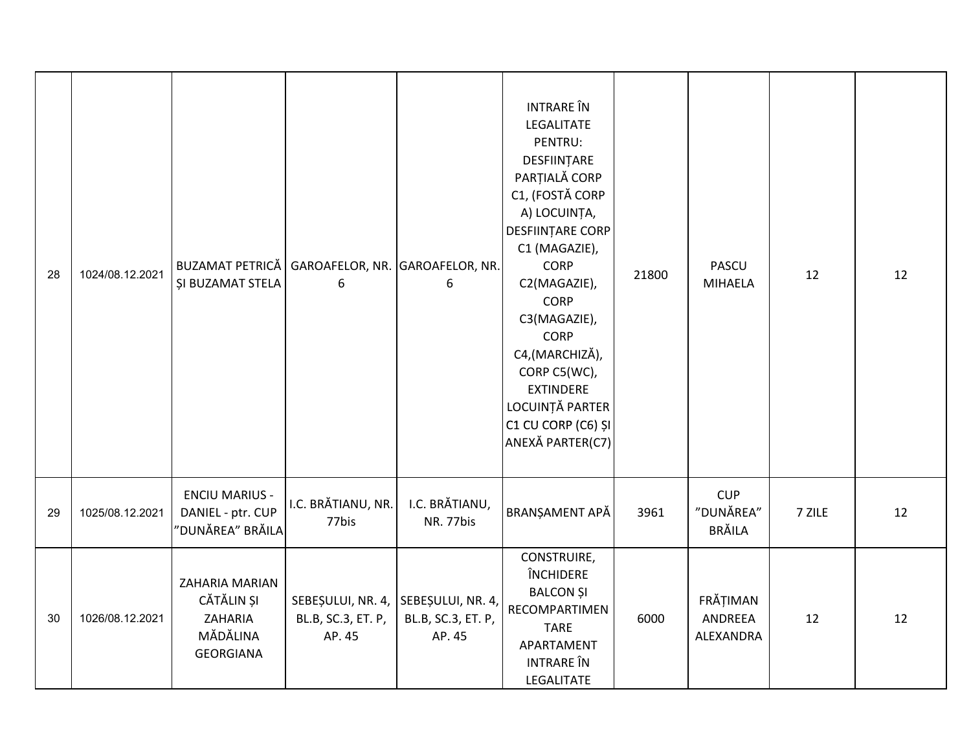| 28 | 1024/08.12.2021 | <b>BUZAMAT PETRICĂ</b><br>ȘI BUZAMAT STELA                              | GAROAFELOR, NR. GAROAFELOR, NR.<br>6              | 6                                                 | <b>INTRARE</b> ÎN<br>LEGALITATE<br>PENTRU:<br>DESFIINȚARE<br>PARȚIALĂ CORP<br>C1, (FOSTĂ CORP<br>A) LOCUINȚA,<br><b>DESFIINTARE CORP</b><br>C1 (MAGAZIE),<br><b>CORP</b><br>C2(MAGAZIE),<br><b>CORP</b><br>C3(MAGAZIE),<br><b>CORP</b><br>C4, (MARCHIZĂ),<br>CORP C5(WC),<br><b>EXTINDERE</b><br>LOCUINȚĂ PARTER<br>C1 CU CORP (C6) ȘI<br>ANEXĂ PARTER(C7) | 21800 | <b>PASCU</b><br><b>MIHAELA</b>    | 12     | 12 |
|----|-----------------|-------------------------------------------------------------------------|---------------------------------------------------|---------------------------------------------------|------------------------------------------------------------------------------------------------------------------------------------------------------------------------------------------------------------------------------------------------------------------------------------------------------------------------------------------------------------|-------|-----------------------------------|--------|----|
| 29 | 1025/08.12.2021 | <b>ENCIU MARIUS -</b><br>DANIEL - ptr. CUP<br>'DUNĂREA" BRĂILA          | I.C. BRĂTIANU, NR.<br>77bis                       | I.C. BRĂTIANU,<br>NR. 77bis                       | BRANȘAMENT APĂ                                                                                                                                                                                                                                                                                                                                             | 3961  | <b>CUP</b><br>"DUNĂREA"<br>BRĂILA | 7 ZILE | 12 |
| 30 | 1026/08.12.2021 | ZAHARIA MARIAN<br>CĂTĂLIN ȘI<br>ZAHARIA<br>MĂDĂLINA<br><b>GEORGIANA</b> | SEBEȘULUI, NR. 4,<br>BL.B, SC.3, ET. P,<br>AP. 45 | SEBEȘULUI, NR. 4,<br>BL.B, SC.3, ET. P,<br>AP. 45 | CONSTRUIRE,<br>ÎNCHIDERE<br><b>BALCON ȘI</b><br>RECOMPARTIMEN<br><b>TARE</b><br>APARTAMENT<br><b>INTRARE</b> ÎN<br>LEGALITATE                                                                                                                                                                                                                              | 6000  | FRĂȚIMAN<br>ANDREEA<br>ALEXANDRA  | 12     | 12 |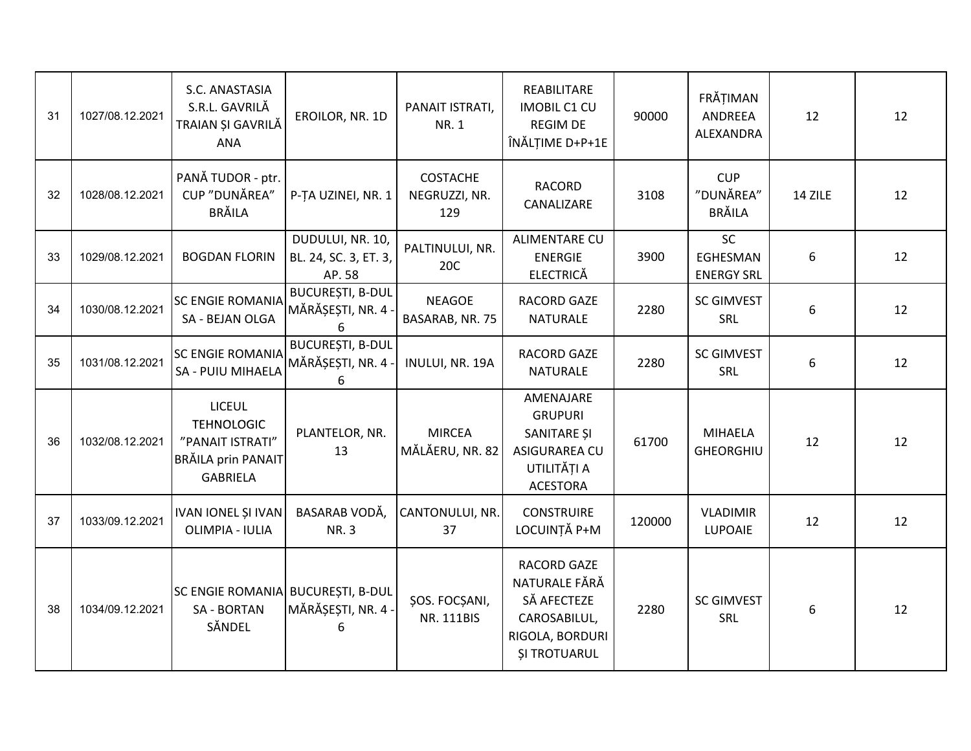| 31 | 1027/08.12.2021 | S.C. ANASTASIA<br>S.R.L. GAVRILĂ<br>TRAIAN ȘI GAVRILĂ<br>ANA                                           | EROILOR, NR. 1D                                     | PANAIT ISTRATI,<br>NR. 1                | REABILITARE<br><b>IMOBIL C1 CU</b><br><b>REGIM DE</b><br>ÎNĂLȚIME D+P+1E                                     | 90000  | FRĂȚIMAN<br>ANDREEA<br>ALEXANDRA           | 12      | 12 |
|----|-----------------|--------------------------------------------------------------------------------------------------------|-----------------------------------------------------|-----------------------------------------|--------------------------------------------------------------------------------------------------------------|--------|--------------------------------------------|---------|----|
| 32 | 1028/08.12.2021 | PANĂ TUDOR - ptr.<br>CUP "DUNĂREA"<br><b>BRĂILA</b>                                                    | P-TA UZINEI, NR. 1                                  | <b>COSTACHE</b><br>NEGRUZZI, NR.<br>129 | <b>RACORD</b><br>CANALIZARE                                                                                  | 3108   | <b>CUP</b><br>"DUNĂREA"<br><b>BRĂILA</b>   | 14 ZILE | 12 |
| 33 | 1029/08.12.2021 | <b>BOGDAN FLORIN</b>                                                                                   | DUDULUI, NR. 10,<br>BL. 24, SC. 3, ET. 3,<br>AP. 58 | PALTINULUI, NR.<br>20C                  | <b>ALIMENTARE CU</b><br><b>ENERGIE</b><br><b>ELECTRICĂ</b>                                                   | 3900   | <b>SC</b><br>EGHESMAN<br><b>ENERGY SRL</b> | 6       | 12 |
| 34 | 1030/08.12.2021 | <b>SC ENGIE ROMANIA</b><br>SA - BEJAN OLGA                                                             | <b>BUCUREȘTI, B-DUL</b><br>MĂRĂȘEȘTI, NR. 4<br>6    | <b>NEAGOE</b><br>BASARAB, NR. 75        | <b>RACORD GAZE</b><br><b>NATURALE</b>                                                                        | 2280   | <b>SC GIMVEST</b><br>SRL                   | 6       | 12 |
| 35 | 1031/08.12.2021 | <b>SC ENGIE ROMANIA</b><br>SA - PUIU MIHAELA                                                           | <b>BUCUREȘTI, B-DUL</b><br>MĂRĂȘEȘTI, NR. 4<br>6    | INULUI, NR. 19A                         | RACORD GAZE<br><b>NATURALE</b>                                                                               | 2280   | <b>SC GIMVEST</b><br>SRL                   | 6       | 12 |
| 36 | 1032/08.12.2021 | <b>LICEUL</b><br><b>TEHNOLOGIC</b><br>"PANAIT ISTRATI"<br><b>BRĂILA prin PANAIT</b><br><b>GABRIELA</b> | PLANTELOR, NR.<br>13                                | <b>MIRCEA</b><br>MĂLĂERU, NR. 82        | AMENAJARE<br><b>GRUPURI</b><br>SANITARE ȘI<br>ASIGURAREA CU<br>UTILITĂȚI A<br><b>ACESTORA</b>                | 61700  | <b>MIHAELA</b><br><b>GHEORGHIU</b>         | 12      | 12 |
| 37 | 1033/09.12.2021 | IVAN IONEL ȘI IVAN<br>OLIMPIA - IULIA                                                                  | BASARAB VODĂ,<br><b>NR.3</b>                        | CANTONULUI, NR.<br>37                   | <b>CONSTRUIRE</b><br>LOCUINȚĂ P+M                                                                            | 120000 | <b>VLADIMIR</b><br><b>LUPOAIE</b>          | 12      | 12 |
| 38 | 1034/09.12.2021 | SC ENGIE ROMANIA BUCUREȘTI, B-DUL<br><b>SA - BORTAN</b><br>SĂNDEL                                      | MĂRĂȘEȘTI, NR. 4<br>6                               | ŞOS. FOCŞANI,<br>NR. 111BIS             | <b>RACORD GAZE</b><br>NATURALE FĂRĂ<br>SĂ AFECTEZE<br>CAROSABILUL,<br>RIGOLA, BORDURI<br><b>ȘI TROTUARUL</b> | 2280   | <b>SC GIMVEST</b><br>SRL                   | 6       | 12 |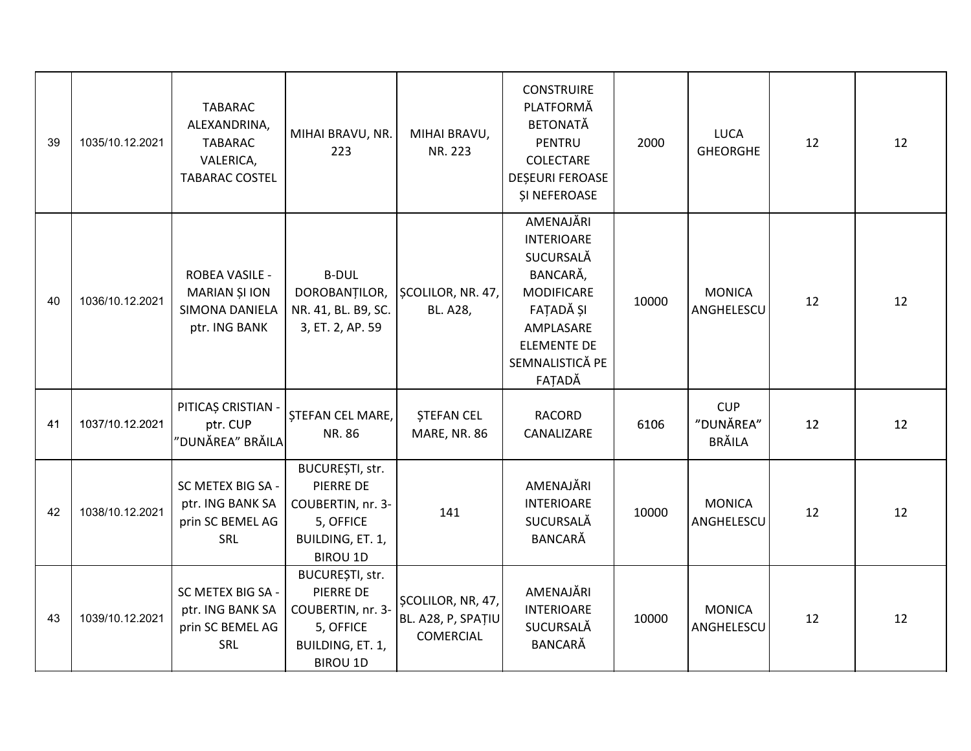| 39 | 1035/10.12.2021 | <b>TABARAC</b><br>ALEXANDRINA,<br><b>TABARAC</b><br>VALERICA,<br><b>TABARAC COSTEL</b> | MIHAI BRAVU, NR.<br>223                                                                               | MIHAI BRAVU,<br>NR. 223                                     | <b>CONSTRUIRE</b><br>PLATFORMĂ<br><b>BETONATĂ</b><br>PENTRU<br>COLECTARE<br><b>DESEURI FEROASE</b><br><b>ȘI NEFEROASE</b>                                 | 2000  | <b>LUCA</b><br><b>GHEORGHE</b>           | 12 | 12 |
|----|-----------------|----------------------------------------------------------------------------------------|-------------------------------------------------------------------------------------------------------|-------------------------------------------------------------|-----------------------------------------------------------------------------------------------------------------------------------------------------------|-------|------------------------------------------|----|----|
| 40 | 1036/10.12.2021 | <b>ROBEA VASILE -</b><br>MARIAN ȘI ION<br>SIMONA DANIELA<br>ptr. ING BANK              | <b>B-DUL</b><br>DOROBANȚILOR,<br>NR. 41, BL. B9, SC.<br>3, ET. 2, AP. 59                              | SCOLILOR, NR. 47,<br>BL. A28,                               | AMENAJĂRI<br><b>INTERIOARE</b><br>SUCURSALĂ<br>BANCARĂ,<br><b>MODIFICARE</b><br>FAȚADĂ ȘI<br>AMPLASARE<br><b>ELEMENTE DE</b><br>SEMNALISTICĂ PE<br>FAȚADĂ | 10000 | <b>MONICA</b><br>ANGHELESCU              | 12 | 12 |
| 41 | 1037/10.12.2021 | PITICAȘ CRISTIAN -<br>ptr. CUP<br>"DUNĂREA" BRĂILA                                     | <b>STEFAN CEL MARE,</b><br>NR. 86                                                                     | <b>ȘTEFAN CEL</b><br>MARE, NR. 86                           | <b>RACORD</b><br>CANALIZARE                                                                                                                               | 6106  | <b>CUP</b><br>"DUNĂREA"<br><b>BRĂILA</b> | 12 | 12 |
| 42 | 1038/10.12.2021 | SC METEX BIG SA -<br>ptr. ING BANK SA<br>prin SC BEMEL AG<br>SRL                       | BUCUREȘTI, str.<br>PIERRE DE<br>COUBERTIN, nr. 3-<br>5, OFFICE<br>BUILDING, ET. 1,<br><b>BIROU 1D</b> | 141                                                         | AMENAJĂRI<br><b>INTERIOARE</b><br>SUCURSALĂ<br><b>BANCARĂ</b>                                                                                             | 10000 | <b>MONICA</b><br>ANGHELESCU              | 12 | 12 |
| 43 | 1039/10.12.2021 | SC METEX BIG SA -<br>ptr. ING BANK SA<br>prin SC BEMEL AG<br>SRL                       | BUCUREȘTI, str.<br>PIERRE DE<br>COUBERTIN, nr. 3-<br>5, OFFICE<br>BUILDING, ET. 1,<br><b>BIROU 1D</b> | ȘCOLILOR, NR, 47,<br>BL. A28, P, SPAȚIU<br><b>COMERCIAL</b> | AMENAJĂRI<br><b>INTERIOARE</b><br>SUCURSALĂ<br><b>BANCARĂ</b>                                                                                             | 10000 | <b>MONICA</b><br>ANGHELESCU              | 12 | 12 |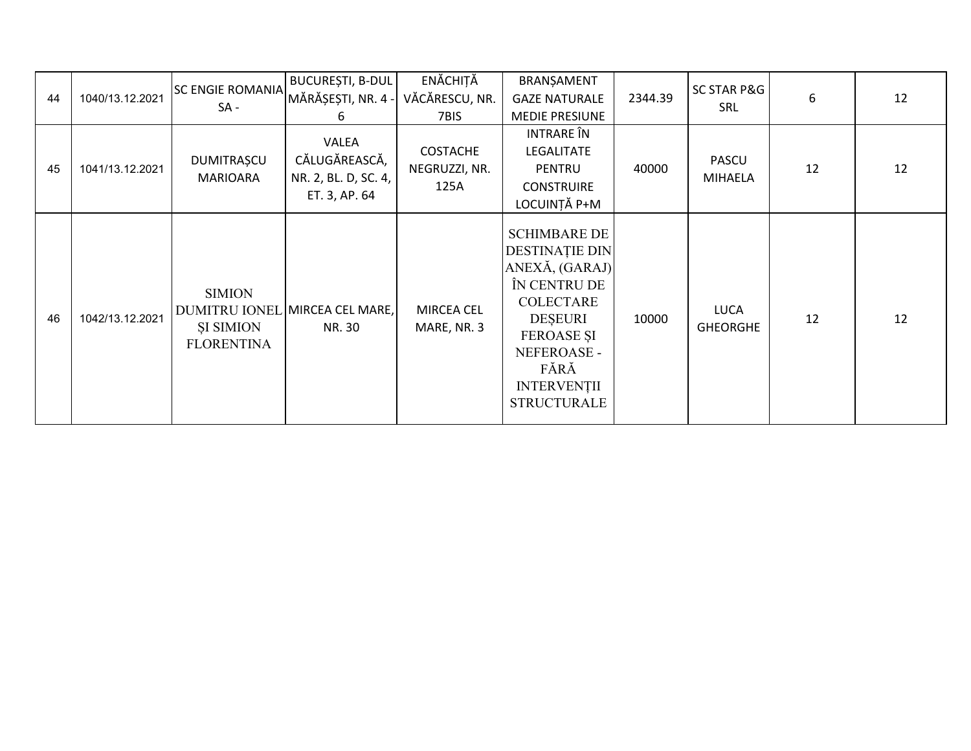|    |                 | <b>SC ENGIE ROMANIA</b>                                | BUCUREȘTI, B-DUL                                                | ENĂCHIȚĂ                                 | BRANȘAMENT                                                                                                                                                                                                   |         | SC STAR P&G                    |    |    |
|----|-----------------|--------------------------------------------------------|-----------------------------------------------------------------|------------------------------------------|--------------------------------------------------------------------------------------------------------------------------------------------------------------------------------------------------------------|---------|--------------------------------|----|----|
| 44 | 1040/13.12.2021 | $SA -$                                                 | MĂRĂȘEȘTI, NR. 4 -                                              | VĂCĂRESCU, NR.                           | <b>GAZE NATURALE</b>                                                                                                                                                                                         | 2344.39 | SRL                            | 6  | 12 |
|    |                 |                                                        | 6                                                               | 7BIS                                     | <b>MEDIE PRESIUNE</b>                                                                                                                                                                                        |         |                                |    |    |
| 45 | 1041/13.12.2021 | <b>DUMITRAȘCU</b><br><b>MARIOARA</b>                   | VALEA<br>CĂLUGĂREASCĂ,<br>NR. 2, BL. D, SC. 4,<br>ET. 3, AP. 64 | <b>COSTACHE</b><br>NEGRUZZI, NR.<br>125A | INTRARE ÎN<br><b>LEGALITATE</b><br><b>PENTRU</b><br><b>CONSTRUIRE</b><br>LOCUINȚĂ P+M                                                                                                                        | 40000   | <b>PASCU</b><br><b>MIHAELA</b> | 12 | 12 |
| 46 | 1042/13.12.2021 | <b>SIMION</b><br><b>ŞI SIMION</b><br><b>FLORENTINA</b> | DUMITRU IONEL MIRCEA CEL MARE,<br>NR. 30                        | MIRCEA CEL<br>MARE, NR. 3                | <b>SCHIMBARE DE</b><br><b>DESTINAȚIE DIN</b><br>ANEXĂ, (GARAJ)<br>ÎN CENTRU DE<br><b>COLECTARE</b><br><b>DESEURI</b><br><b>FEROASE ȘI</b><br>NEFEROASE -<br>FĂRĂ<br><b>INTERVENȚII</b><br><b>STRUCTURALE</b> | 10000   | <b>LUCA</b><br><b>GHEORGHE</b> | 12 | 12 |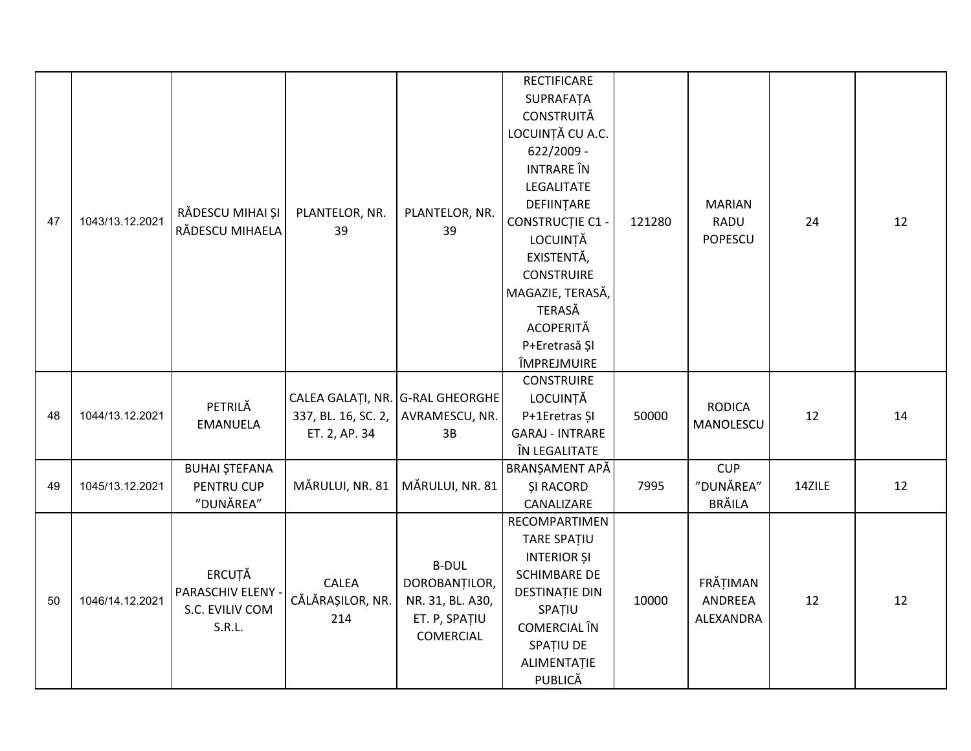| 47 | 1043/13.12.2021 | RĂDESCU MIHAI ȘI<br>RĂDESCU MIHAELA                      | PLANTELOR, NR.<br>39                              | PLANTELOR, NR.<br>39                                                                   | <b>RECTIFICARE</b><br>SUPRAFATA<br><b>CONSTRUITĂ</b><br>LOCUINȚĂ CU A.C.<br>622/2009 -<br><b>INTRARE</b> ÎN<br>LEGALITATE<br>DEFIINȚARE<br><b>CONSTRUCȚIE C1 -</b><br>LOCUINȚĂ<br>EXISTENTĂ,<br><b>CONSTRUIRE</b><br>MAGAZIE, TERASĂ,<br><b>TERASĂ</b><br><b>ACOPERITĂ</b><br>P+Eretrasă ȘI<br>ÎMPREJMUIRE | 121280 | <b>MARIAN</b><br><b>RADU</b><br>POPESCU | 24     | 12 |
|----|-----------------|----------------------------------------------------------|---------------------------------------------------|----------------------------------------------------------------------------------------|------------------------------------------------------------------------------------------------------------------------------------------------------------------------------------------------------------------------------------------------------------------------------------------------------------|--------|-----------------------------------------|--------|----|
| 48 | 1044/13.12.2021 | PETRILĂ<br><b>EMANUELA</b>                               | CALEA GALAȚI, NR. G-RAL GHEORGHE<br>ET. 2, AP. 34 | 337, BL. 16, SC. 2, AVRAMESCU, NR.<br>3B                                               | <b>CONSTRUIRE</b><br>LOCUINȚĂ<br>P+1Eretras ȘI<br><b>GARAJ - INTRARE</b><br>ÎN LEGALITATE                                                                                                                                                                                                                  | 50000  | <b>RODICA</b><br>MANOLESCU              | 12     | 14 |
| 49 | 1045/13.12.2021 | <b>BUHAI ȘTEFANA</b><br>PENTRU CUP<br>"DUNĂREA"          | MĂRULUI, NR. 81                                   | MĂRULUI, NR. 81                                                                        | BRANȘAMENT APĂ<br><b>ŞI RACORD</b><br>CANALIZARE                                                                                                                                                                                                                                                           | 7995   | <b>CUP</b><br>"DUNĂREA"<br>BRĂILA       | 14ZILE | 12 |
| 50 | 1046/14.12.2021 | ERCUȚĂ<br>PARASCHIV ELENY -<br>S.C. EVILIV COM<br>S.R.L. | CALEA<br>CĂLĂRAȘILOR, NR.<br>214                  | <b>B-DUL</b><br>DOROBANȚILOR,<br>NR. 31, BL. A30,<br>ET. P, SPAȚIU<br><b>COMERCIAL</b> | RECOMPARTIMEN<br>TARE SPATIU<br><b>INTERIOR ȘI</b><br><b>SCHIMBARE DE</b><br>DESTINAȚIE DIN<br>SPATIU<br>COMERCIAL ÎN<br>SPAȚIU DE<br>ALIMENTAȚIE<br>PUBLICĂ                                                                                                                                               | 10000  | FRĂȚIMAN<br>ANDREEA<br>ALEXANDRA        | 12     | 12 |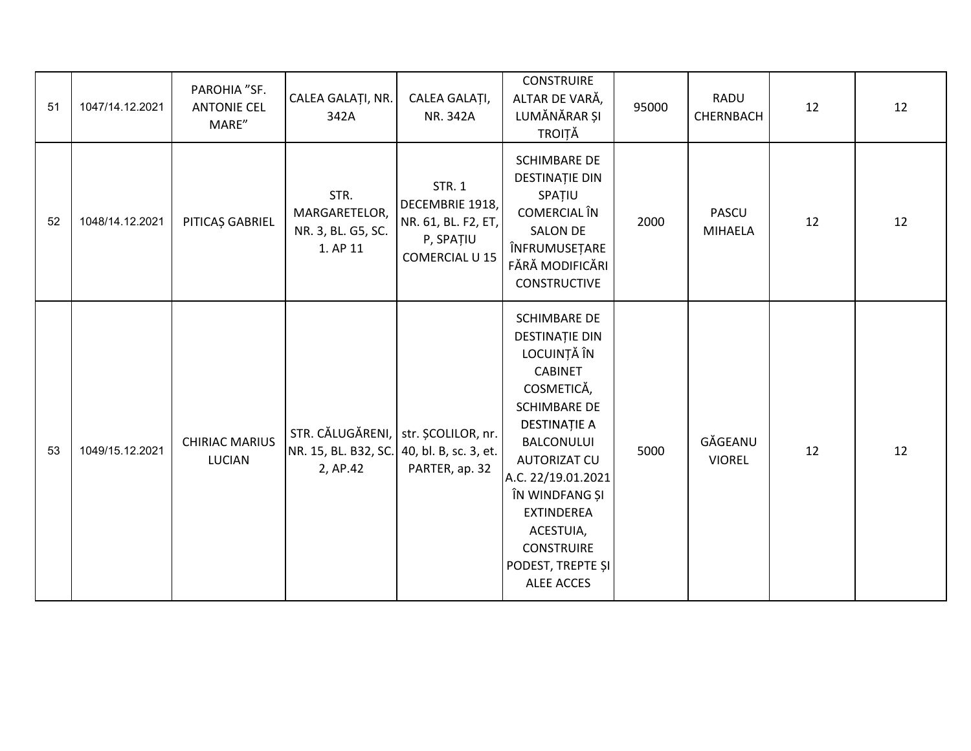| 51 | 1047/14.12.2021 | PAROHIA "SF.<br><b>ANTONIE CEL</b><br>MARE" | CALEA GALAȚI, NR.<br>342A                                                                     | CALEA GALAȚI,<br>NR. 342A                                                              | <b>CONSTRUIRE</b><br>ALTAR DE VARĂ,<br>LUMĂNĂRAR ȘI<br><b>TROIȚĂ</b>                                                                                                                                                                                                                                                    | 95000 | RADU<br><b>CHERNBACH</b>       | 12 | 12 |
|----|-----------------|---------------------------------------------|-----------------------------------------------------------------------------------------------|----------------------------------------------------------------------------------------|-------------------------------------------------------------------------------------------------------------------------------------------------------------------------------------------------------------------------------------------------------------------------------------------------------------------------|-------|--------------------------------|----|----|
| 52 | 1048/14.12.2021 | PITICAȘ GABRIEL                             | STR.<br>MARGARETELOR,<br>NR. 3, BL. G5, SC.<br>1. AP 11                                       | <b>STR. 1</b><br>DECEMBRIE 1918,<br>NR. 61, BL. F2, ET,<br>P, SPATIU<br>COMERCIAL U 15 | <b>SCHIMBARE DE</b><br><b>DESTINAȚIE DIN</b><br>SPATIU<br>COMERCIAL ÎN<br><b>SALON DE</b><br>ÎNFRUMUSEȚARE<br>FĂRĂ MODIFICĂRI<br><b>CONSTRUCTIVE</b>                                                                                                                                                                    | 2000  | <b>PASCU</b><br><b>MIHAELA</b> | 12 | 12 |
| 53 | 1049/15.12.2021 | <b>CHIRIAC MARIUS</b><br>LUCIAN             | STR. CĂLUGĂRENI, str. ȘCOLILOR, nr.<br>NR. 15, BL. B32, SC. 40, bl. B, sc. 3, et.<br>2, AP.42 | PARTER, ap. 32                                                                         | <b>SCHIMBARE DE</b><br><b>DESTINAȚIE DIN</b><br>LOCUINȚĂ ÎN<br><b>CABINET</b><br>COSMETICĂ,<br><b>SCHIMBARE DE</b><br><b>DESTINAȚIE A</b><br><b>BALCONULUI</b><br>AUTORIZAT CU<br>A.C. 22/19.01.2021<br>ÎN WINDFANG ȘI<br><b>EXTINDEREA</b><br>ACESTUIA,<br><b>CONSTRUIRE</b><br>PODEST, TREPTE ȘI<br><b>ALEE ACCES</b> | 5000  | GĂGEANU<br><b>VIOREL</b>       | 12 | 12 |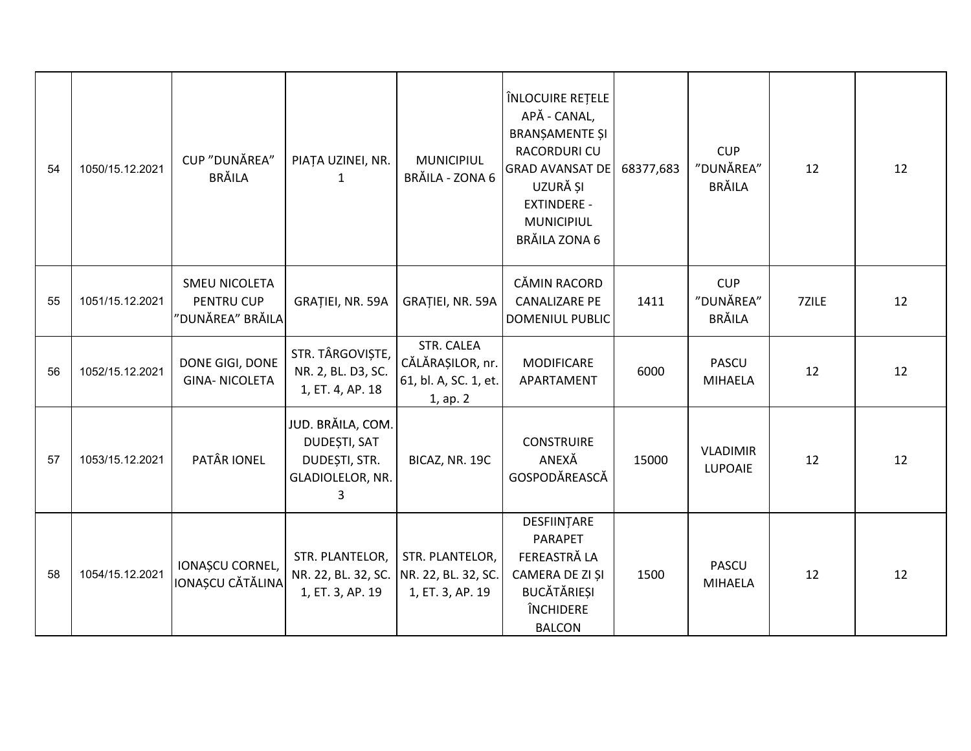| 54 | 1050/15.12.2021 | CUP "DUNĂREA"<br><b>BRĂILA</b>                         | PIAȚA UZINEI, NR.<br>$\mathbf{1}$                                           | <b>MUNICIPIUL</b><br>BRĂILA - ZONA 6                                | ÎNLOCUIRE REȚELE<br>APĂ - CANAL,<br><b>BRANȘAMENTE ȘI</b><br>RACORDURI CU<br><b>GRAD AVANSAT DE</b><br>UZURĂ ȘI<br><b>EXTINDERE -</b><br>MUNICIPIUL<br>BRĂILA ZONA 6 | 68377,683 | <b>CUP</b><br>"DUNĂREA"<br><b>BRĂILA</b> | 12    | 12 |
|----|-----------------|--------------------------------------------------------|-----------------------------------------------------------------------------|---------------------------------------------------------------------|----------------------------------------------------------------------------------------------------------------------------------------------------------------------|-----------|------------------------------------------|-------|----|
| 55 | 1051/15.12.2021 | SMEU NICOLETA<br><b>PENTRU CUP</b><br>"DUNĂREA" BRĂILA | GRAȚIEI, NR. 59A                                                            | GRAȚIEI, NR. 59A                                                    | CĂMIN RACORD<br><b>CANALIZARE PE</b><br><b>DOMENIUL PUBLIC</b>                                                                                                       | 1411      | <b>CUP</b><br>"DUNĂREA"<br><b>BRĂILA</b> | 7ZILE | 12 |
| 56 | 1052/15.12.2021 | DONE GIGI, DONE<br><b>GINA-NICOLETA</b>                | STR. TÂRGOVIȘTE,<br>NR. 2, BL. D3, SC.<br>1, ET. 4, AP. 18                  | STR. CALEA<br>CĂLĂRAȘILOR, nr.<br>61, bl. A, SC. 1, et.<br>1, ap. 2 | <b>MODIFICARE</b><br>APARTAMENT                                                                                                                                      | 6000      | <b>PASCU</b><br><b>MIHAELA</b>           | 12    | 12 |
| 57 | 1053/15.12.2021 | PATÂR IONEL                                            | JUD. BRĂILA, COM.<br>DUDEȘTI, SAT<br>DUDEȘTI, STR.<br>GLADIOLELOR, NR.<br>3 | BICAZ, NR. 19C                                                      | <b>CONSTRUIRE</b><br>ANEXĂ<br>GOSPODĂREASCĂ                                                                                                                          | 15000     | <b>VLADIMIR</b><br><b>LUPOAIE</b>        | 12    | 12 |
| 58 | 1054/15.12.2021 | IONAȘCU CORNEL,<br>IONAȘCU CĂTĂLINA                    | STR. PLANTELOR,<br>NR. 22, BL. 32, SC.<br>1, ET. 3, AP. 19                  | STR. PLANTELOR,<br>NR. 22, BL. 32, SC.<br>1, ET. 3, AP. 19          | DESFIINTARE<br>PARAPET<br>FEREASTRĂ LA<br>CAMERA DE ZI ȘI<br><b>BUCĂTĂRIEȘI</b><br><b>ÎNCHIDERE</b><br><b>BALCON</b>                                                 | 1500      | <b>PASCU</b><br><b>MIHAELA</b>           | 12    | 12 |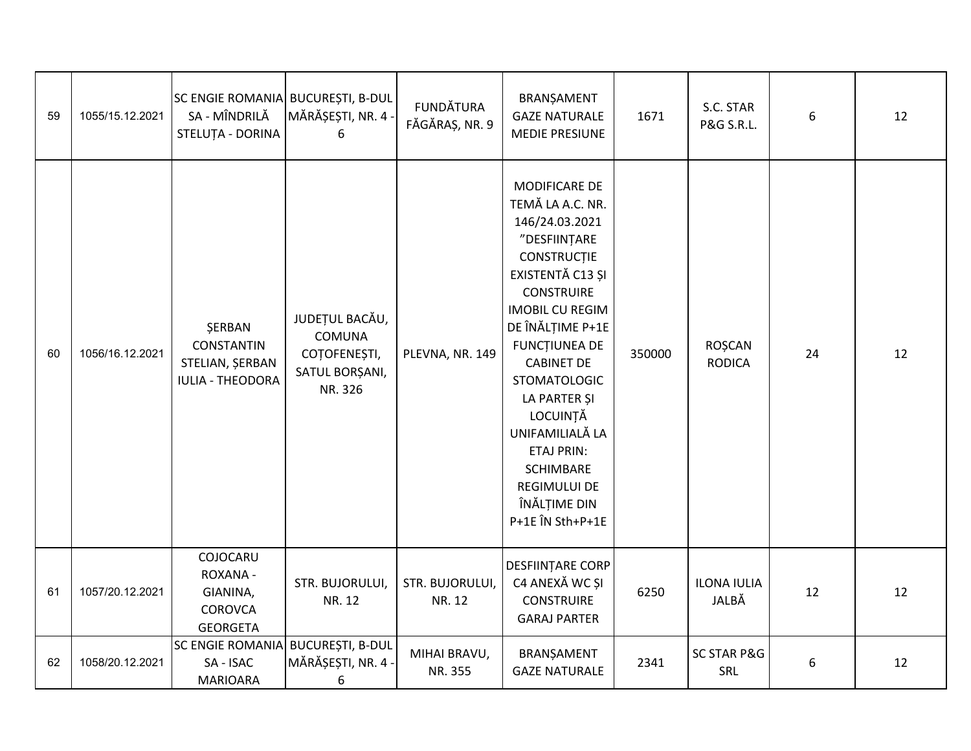| 59 | 1055/15.12.2021 | SC ENGIE ROMANIA BUCUREȘTI, B-DUL<br>SA - MÎNDRILĂ<br>STELUȚA - DORINA           | MĂRĂȘEȘTI, NR. 4 ·<br>6                                                      | <b>FUNDĂTURA</b><br>FĂGĂRAȘ, NR. 9 | BRANȘAMENT<br><b>GAZE NATURALE</b><br>MEDIE PRESIUNE                                                                                                                                                                                                                                                                                                                                             | 1671   | S.C. STAR<br>P&G S.R.L.        | 6  | 12 |
|----|-----------------|----------------------------------------------------------------------------------|------------------------------------------------------------------------------|------------------------------------|--------------------------------------------------------------------------------------------------------------------------------------------------------------------------------------------------------------------------------------------------------------------------------------------------------------------------------------------------------------------------------------------------|--------|--------------------------------|----|----|
| 60 | 1056/16.12.2021 | <b>ŞERBAN</b><br><b>CONSTANTIN</b><br>STELIAN, ŞERBAN<br><b>IULIA - THEODORA</b> | JUDEȚUL BACĂU,<br><b>COMUNA</b><br>COTOFENEȘTI,<br>SATUL BORȘANI,<br>NR. 326 | PLEVNA, NR. 149                    | MODIFICARE DE<br>TEMĂ LA A.C. NR.<br>146/24.03.2021<br>"DESFIINȚARE<br>CONSTRUCȚIE<br>EXISTENTĂ C13 ȘI<br><b>CONSTRUIRE</b><br><b>IMOBIL CU REGIM</b><br>DE ÎNĂLȚIME P+1E<br><b>FUNCTIUNEA DE</b><br><b>CABINET DE</b><br><b>STOMATOLOGIC</b><br>LA PARTER ȘI<br>LOCUINȚĂ<br>UNIFAMILIALĂ LA<br><b>ETAJ PRIN:</b><br><b>SCHIMBARE</b><br><b>REGIMULUI DE</b><br>ÎNĂLȚIME DIN<br>P+1E ÎN Sth+P+1E | 350000 | <b>ROȘCAN</b><br><b>RODICA</b> | 24 | 12 |
| 61 | 1057/20.12.2021 | COJOCARU<br>ROXANA -<br>GIANINA,<br><b>COROVCA</b><br><b>GEORGETA</b>            | STR. BUJORULUI,<br>NR. 12                                                    | STR. BUJORULUI,<br>NR. 12          | DESFIINȚARE CORP<br>C4 ANEXĂ WC ȘI<br><b>CONSTRUIRE</b><br><b>GARAJ PARTER</b>                                                                                                                                                                                                                                                                                                                   | 6250   | <b>ILONA IULIA</b><br>JALBĂ    | 12 | 12 |
| 62 | 1058/20.12.2021 | <b>SC ENGIE ROMANIA</b><br>SA - ISAC<br><b>MARIOARA</b>                          | <b>BUCUREȘTI, B-DUL</b><br>MĂRĂȘEȘTI, NR. 4 -<br>6                           | MIHAI BRAVU,<br>NR. 355            | BRANȘAMENT<br><b>GAZE NATURALE</b>                                                                                                                                                                                                                                                                                                                                                               | 2341   | <b>SC STAR P&amp;G</b><br>SRL  | 6  | 12 |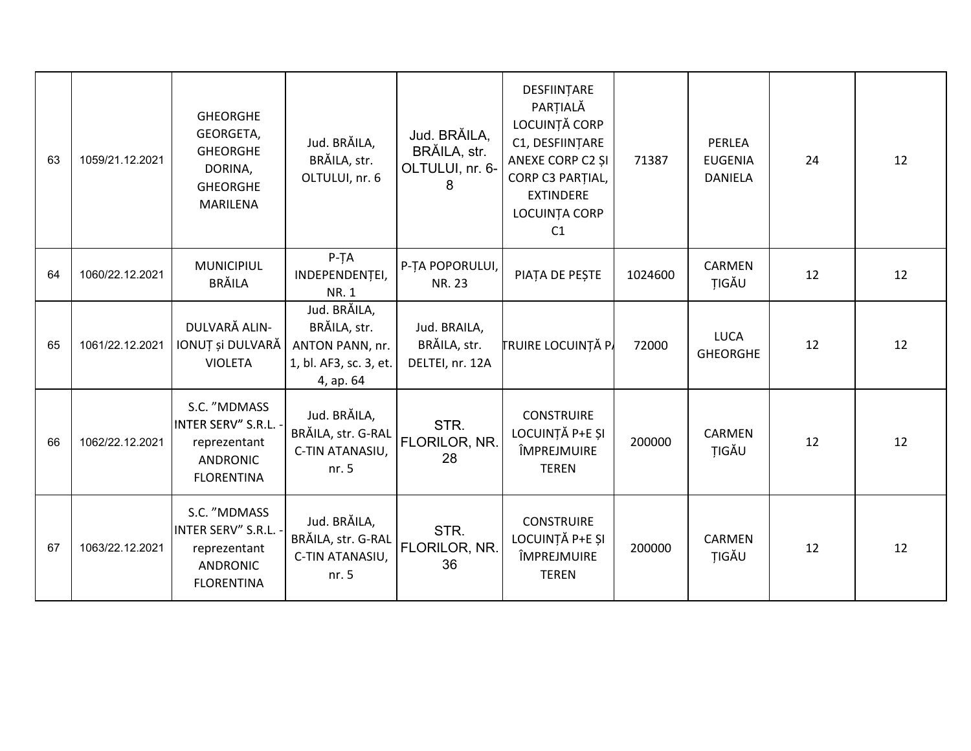| 63 | 1059/21.12.2021 | <b>GHEORGHE</b><br>GEORGETA,<br><b>GHEORGHE</b><br>DORINA,<br><b>GHEORGHE</b><br>MARILENA    | Jud. BRĂILA,<br>BRĂILA, str.<br>OLTULUI, nr. 6                                         | Jud. BRĂILA,<br>BRĂILA, str.<br>OLTULUI, nr. 6-<br>8 | DESFIINȚARE<br>PARTIALĂ<br>LOCUINTĂ CORP<br>C1, DESFIINȚARE<br>ANEXE CORP C2 SI<br>CORP C3 PARTIAL,<br><b>EXTINDERE</b><br>LOCUINȚA CORP<br>C1 | 71387   | PERLEA<br><b>EUGENIA</b><br><b>DANIELA</b> | 24 | 12 |
|----|-----------------|----------------------------------------------------------------------------------------------|----------------------------------------------------------------------------------------|------------------------------------------------------|------------------------------------------------------------------------------------------------------------------------------------------------|---------|--------------------------------------------|----|----|
| 64 | 1060/22.12.2021 | <b>MUNICIPIUL</b><br><b>BRĂILA</b>                                                           | $P-TA$<br>INDEPENDENȚEI,<br><b>NR.1</b>                                                | P-TA POPORULUI,<br>NR. 23                            | PIAȚA DE PEȘTE                                                                                                                                 | 1024600 | CARMEN<br>TIGĂU                            | 12 | 12 |
| 65 | 1061/22.12.2021 | DULVARĂ ALIN-<br>IONUȚ și DULVARĂ<br><b>VIOLETA</b>                                          | Jud. BRĂILA,<br>BRĂILA, str.<br>ANTON PANN, nr.<br>1, bl. AF3, sc. 3, et.<br>4, ap. 64 | Jud. BRAILA,<br>BRĂILA, str.<br>DELTEI, nr. 12A      | <b>TRUIRE LOCUINȚĂ PA</b>                                                                                                                      | 72000   | <b>LUCA</b><br><b>GHEORGHE</b>             | 12 | 12 |
| 66 | 1062/22.12.2021 | S.C. "MDMASS<br>INTER SERV" S.R.L.<br>reprezentant<br><b>ANDRONIC</b><br><b>FLORENTINA</b>   | Jud. BRĂILA,<br>BRĂILA, str. G-RAL<br>C-TIN ATANASIU,<br>nr. 5                         | STR.<br>FLORILOR, NR.<br>28                          | <b>CONSTRUIRE</b><br>LOCUINȚĂ P+E ȘI<br>ÎMPREJMUIRE<br><b>TEREN</b>                                                                            | 200000  | <b>CARMEN</b><br>TIGĂU                     | 12 | 12 |
| 67 | 1063/22.12.2021 | S.C. "MDMASS<br>INTER SERV" S.R.L. -<br>reprezentant<br><b>ANDRONIC</b><br><b>FLORENTINA</b> | Jud. BRĂILA,<br>BRĂILA, str. G-RAL<br>C-TIN ATANASIU,<br>nr.5                          | STR.<br>FLORILOR, NR.<br>36                          | <b>CONSTRUIRE</b><br>LOCUINȚĂ P+E ȘI<br>ÎMPREJMUIRE<br><b>TEREN</b>                                                                            | 200000  | CARMEN<br>TIGĂU                            | 12 | 12 |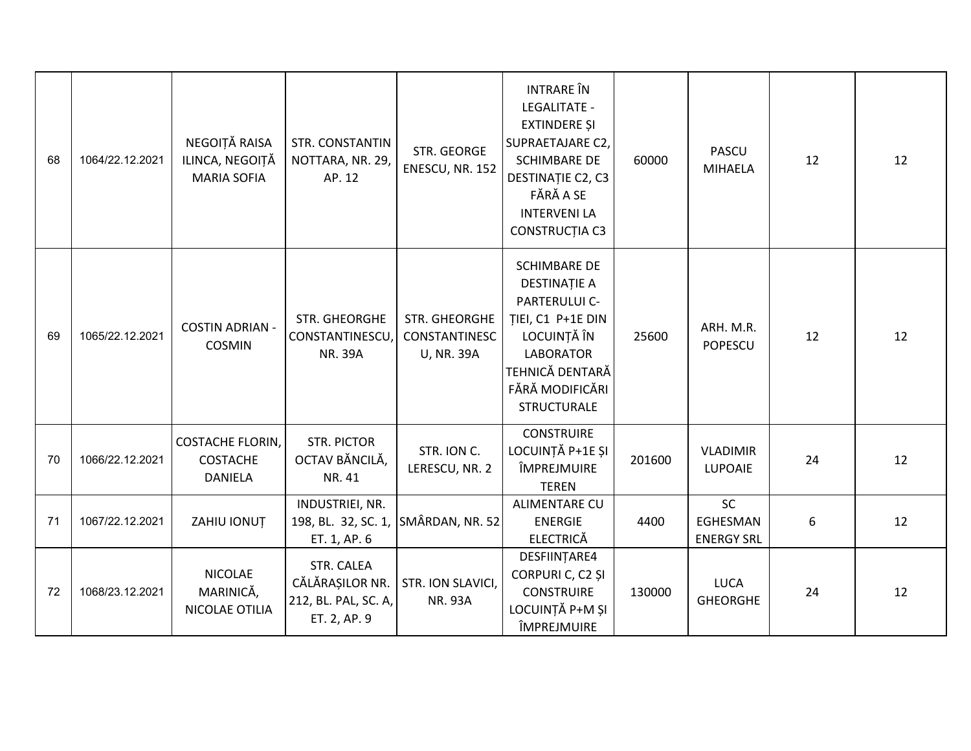| 68 | 1064/22.12.2021 | NEGOIȚĂ RAISA<br>ILINCA, NEGOIȚĂ<br><b>MARIA SOFIA</b> | <b>STR. CONSTANTIN</b><br>NOTTARA, NR. 29,<br>AP. 12                   | STR. GEORGE<br>ENESCU, NR. 152                      | <b>INTRARE</b> ÎN<br><b>LEGALITATE -</b><br><b>EXTINDERE ȘI</b><br>SUPRAETAJARE C2,<br><b>SCHIMBARE DE</b><br>DESTINAȚIE C2, C3<br>FĂRĂ A SE<br><b>INTERVENI LA</b><br>CONSTRUCȚIA C3 | 60000  | PASCU<br><b>MIHAELA</b>                    | 12 | 12 |
|----|-----------------|--------------------------------------------------------|------------------------------------------------------------------------|-----------------------------------------------------|---------------------------------------------------------------------------------------------------------------------------------------------------------------------------------------|--------|--------------------------------------------|----|----|
| 69 | 1065/22.12.2021 | <b>COSTIN ADRIAN -</b><br><b>COSMIN</b>                | STR. GHEORGHE<br>CONSTANTINESCU<br><b>NR. 39A</b>                      | STR. GHEORGHE<br>CONSTANTINESC<br><b>U, NR. 39A</b> | <b>SCHIMBARE DE</b><br><b>DESTINAȚIE A</b><br>PARTERULUI C-<br>TIEI, C1 P+1E DIN<br>LOCUINȚĂ ÎN<br><b>LABORATOR</b><br>TEHNICĂ DENTARĂ<br>FĂRĂ MODIFICĂRI<br><b>STRUCTURALE</b>       | 25600  | ARH. M.R.<br><b>POPESCU</b>                | 12 | 12 |
| 70 | 1066/22.12.2021 | <b>COSTACHE FLORIN,</b><br><b>COSTACHE</b><br>DANIELA  | <b>STR. PICTOR</b><br>OCTAV BĂNCILĂ,<br>NR. 41                         | STR. ION C.<br>LERESCU, NR. 2                       | <b>CONSTRUIRE</b><br>LOCUINȚĂ P+1E ȘI<br>ÎMPREJMUIRE<br><b>TEREN</b>                                                                                                                  | 201600 | <b>VLADIMIR</b><br>LUPOAIE                 | 24 | 12 |
| 71 | 1067/22.12.2021 | ZAHIU IONUȚ                                            | INDUSTRIEI, NR.<br>198, BL. 32, SC. 1, SMÂRDAN, NR. 52<br>ET. 1, AP. 6 |                                                     | <b>ALIMENTARE CU</b><br><b>ENERGIE</b><br><b>ELECTRICĂ</b>                                                                                                                            | 4400   | <b>SC</b><br>EGHESMAN<br><b>ENERGY SRL</b> | 6  | 12 |
| 72 | 1068/23.12.2021 | <b>NICOLAE</b><br>MARINICĂ,<br>NICOLAE OTILIA          | STR. CALEA<br>CĂLĂRAȘILOR NR.<br>212, BL. PAL, SC. A,<br>ET. 2, AP. 9  | <b>STR. ION SLAVICI,</b><br><b>NR. 93A</b>          | DESFIINȚARE4<br>CORPURI C, C2 ȘI<br><b>CONSTRUIRE</b><br>LOCUINȚĂ P+M ȘI<br>ÎMPREJMUIRE                                                                                               | 130000 | <b>LUCA</b><br><b>GHEORGHE</b>             | 24 | 12 |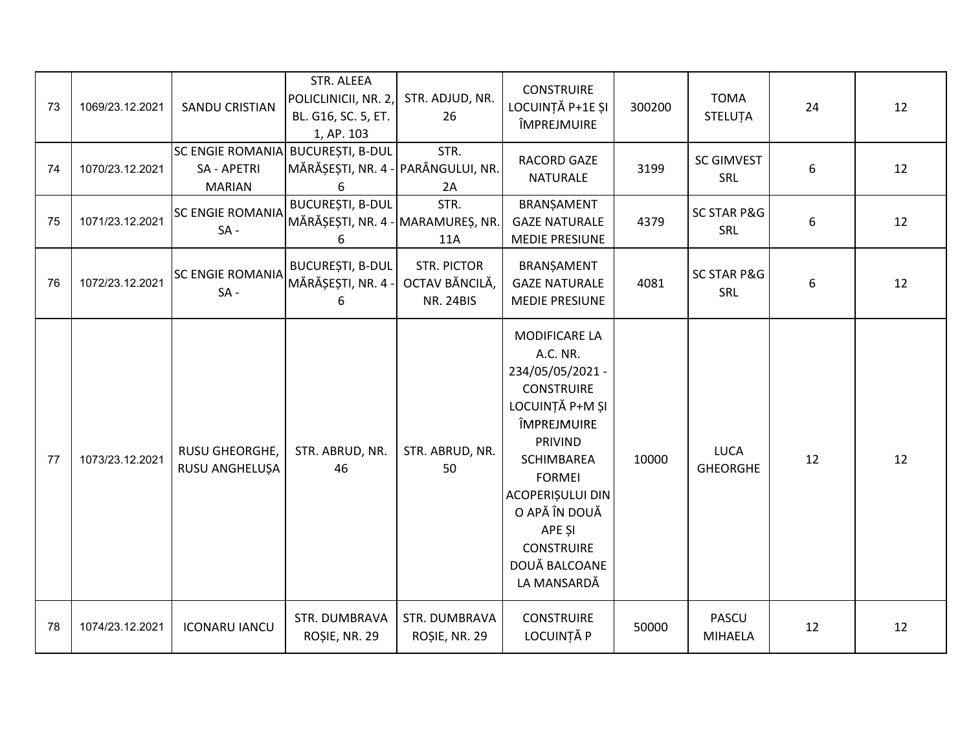| 73 | 1069/23.12.2021 | <b>SANDU CRISTIAN</b>                                          | STR. ALEEA<br>POLICLINICII, NR. 2,<br>BL. G16, SC. 5, ET.<br>1, AP. 103 | STR. ADJUD, NR.<br>26                                    | <b>CONSTRUIRE</b><br>LOCUINȚĂ P+1E ȘI<br>ÎMPREJMUIRE                                                                                                                                                                                                             | 300200 | <b>TOMA</b><br>STELUȚA         | 24 | 12 |
|----|-----------------|----------------------------------------------------------------|-------------------------------------------------------------------------|----------------------------------------------------------|------------------------------------------------------------------------------------------------------------------------------------------------------------------------------------------------------------------------------------------------------------------|--------|--------------------------------|----|----|
| 74 | 1070/23.12.2021 | <b>SC ENGIE ROMANIA</b><br><b>SA - APETRI</b><br><b>MARIAN</b> | <b>BUCUREȘTI, B-DUL</b><br>MĂRĂȘEȘTI, NR. 4 - PARÂNGULUI, NR.<br>6      | STR.<br>2A                                               | RACORD GAZE<br><b>NATURALE</b>                                                                                                                                                                                                                                   | 3199   | <b>SC GIMVEST</b><br>SRL       | 6  | 12 |
| 75 | 1071/23.12.2021 | <b>SC ENGIE ROMANIA</b><br>$SA -$                              | <b>BUCUREȘTI, B-DUL</b><br>MĂRĂȘEȘTI, NR. 4 - MARAMUREȘ, NR.<br>6       | STR.<br>11A                                              | BRANȘAMENT<br><b>GAZE NATURALE</b><br><b>MEDIE PRESIUNE</b>                                                                                                                                                                                                      | 4379   | <b>SC STAR P&amp;G</b><br>SRL  | 6  | 12 |
| 76 | 1072/23.12.2021 | <b>SC ENGIE ROMANIA</b><br>$SA -$                              | <b>BUCUREȘTI, B-DUL</b><br>MĂRĂȘEȘTI, NR. 4 -<br>6                      | <b>STR. PICTOR</b><br>OCTAV BĂNCILĂ,<br><b>NR. 24BIS</b> | BRANȘAMENT<br><b>GAZE NATURALE</b><br><b>MEDIE PRESIUNE</b>                                                                                                                                                                                                      | 4081   | <b>SC STAR P&amp;G</b><br>SRL  | 6  | 12 |
| 77 | 1073/23.12.2021 | RUSU GHEORGHE,<br>RUSU ANGHELUŞA                               | STR. ABRUD, NR.<br>46                                                   | STR. ABRUD, NR.<br>50                                    | MODIFICARE LA<br>A.C. NR.<br>234/05/05/2021 -<br><b>CONSTRUIRE</b><br>LOCUINȚĂ P+M ȘI<br>ÎMPREJMUIRE<br><b>PRIVIND</b><br><b>SCHIMBAREA</b><br><b>FORMEI</b><br>ACOPERIȘULUI DIN<br>O APĂ ÎN DOUĂ<br>APE ȘI<br><b>CONSTRUIRE</b><br>DOUĂ BALCOANE<br>LA MANSARDĂ | 10000  | <b>LUCA</b><br><b>GHEORGHE</b> | 12 | 12 |
| 78 | 1074/23.12.2021 | <b>ICONARU IANCU</b>                                           | STR. DUMBRAVA<br>ROȘIE, NR. 29                                          | STR. DUMBRAVA<br>ROȘIE, NR. 29                           | <b>CONSTRUIRE</b><br>LOCUINȚĂ P                                                                                                                                                                                                                                  | 50000  | <b>PASCU</b><br><b>MIHAELA</b> | 12 | 12 |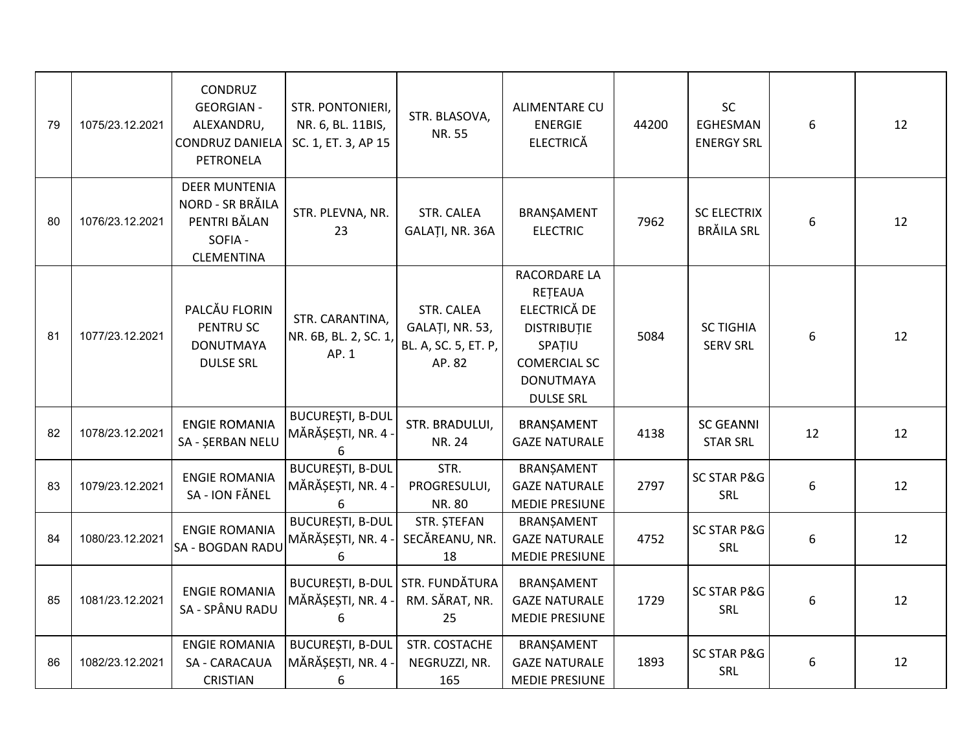| 79 | 1075/23.12.2021 | CONDRUZ<br><b>GEORGIAN -</b><br>ALEXANDRU,<br><b>CONDRUZ DANIELA</b><br><b>PETRONELA</b> | STR. PONTONIERI,<br>NR. 6, BL. 11BIS,<br>SC. 1, ET. 3, AP 15 | STR. BLASOVA,<br>NR. 55                                         | ALIMENTARE CU<br><b>ENERGIE</b><br><b>ELECTRICĂ</b>                                                                                    | 44200 | SC<br>EGHESMAN<br><b>ENERGY SRL</b>     | 6  | 12 |
|----|-----------------|------------------------------------------------------------------------------------------|--------------------------------------------------------------|-----------------------------------------------------------------|----------------------------------------------------------------------------------------------------------------------------------------|-------|-----------------------------------------|----|----|
| 80 | 1076/23.12.2021 | <b>DEER MUNTENIA</b><br>NORD - SR BRĂILA<br>PENTRI BĂLAN<br>SOFIA -<br><b>CLEMENTINA</b> | STR. PLEVNA, NR.<br>23                                       | STR. CALEA<br>GALAȚI, NR. 36A                                   | BRANȘAMENT<br><b>ELECTRIC</b>                                                                                                          | 7962  | <b>SC ELECTRIX</b><br><b>BRÄILA SRL</b> | 6  | 12 |
| 81 | 1077/23.12.2021 | PALCĂU FLORIN<br>PENTRU SC<br><b>DONUTMAYA</b><br><b>DULSE SRL</b>                       | STR. CARANTINA,<br>NR. 6B, BL. 2, SC. 1,<br>AP. 1            | STR. CALEA<br>GALAȚI, NR. 53,<br>BL. A, SC. 5, ET. P,<br>AP. 82 | RACORDARE LA<br>RETEAUA<br>ELECTRICĂ DE<br><b>DISTRIBUTIE</b><br>SPATIU<br><b>COMERCIAL SC</b><br><b>DONUTMAYA</b><br><b>DULSE SRL</b> | 5084  | <b>SC TIGHIA</b><br><b>SERV SRL</b>     | 6  | 12 |
| 82 | 1078/23.12.2021 | <b>ENGIE ROMANIA</b><br>SA - ŞERBAN NELU                                                 | <b>BUCUREȘTI, B-DUL</b><br>MĂRĂȘEȘTI, NR. 4 -<br>6           | STR. BRADULUI,<br><b>NR. 24</b>                                 | BRANȘAMENT<br><b>GAZE NATURALE</b>                                                                                                     | 4138  | <b>SC GEANNI</b><br><b>STAR SRL</b>     | 12 | 12 |
| 83 | 1079/23.12.2021 | <b>ENGIE ROMANIA</b><br>SA - ION FĂNEL                                                   | <b>BUCUREȘTI, B-DUL</b><br>MĂRĂȘEȘTI, NR. 4 -<br>6           | STR.<br>PROGRESULUI,<br>NR. 80                                  | BRANȘAMENT<br><b>GAZE NATURALE</b><br>MEDIE PRESIUNE                                                                                   | 2797  | <b>SC STAR P&amp;G</b><br>SRL           | 6  | 12 |
| 84 | 1080/23.12.2021 | <b>ENGIE ROMANIA</b><br>SA - BOGDAN RADU                                                 | <b>BUCURESTI, B-DUL</b><br>MĂRĂȘEȘTI, NR. 4 -<br>6           | STR. ȘTEFAN<br>SECĂREANU, NR.<br>18                             | BRANŞAMENT<br><b>GAZE NATURALE</b><br><b>MEDIE PRESIUNE</b>                                                                            | 4752  | <b>SC STAR P&amp;G</b><br><b>SRL</b>    | 6  | 12 |
| 85 | 1081/23.12.2021 | <b>ENGIE ROMANIA</b><br>SA - SPÂNU RADU                                                  | BUCUREȘTI, B-DUL STR. FUNDĂTURA<br>MĂRĂȘEȘTI, NR. 4 -<br>6   | RM. SĂRAT, NR.<br>25                                            | BRANȘAMENT<br><b>GAZE NATURALE</b><br><b>MEDIE PRESIUNE</b>                                                                            | 1729  | <b>SC STAR P&amp;G</b><br>SRL           | 6  | 12 |
| 86 | 1082/23.12.2021 | <b>ENGIE ROMANIA</b><br>SA - CARACAUA<br><b>CRISTIAN</b>                                 | BUCUREȘTI, B-DUL<br>MĂRĂȘEȘTI, NR. 4 -<br>6                  | STR. COSTACHE<br>NEGRUZZI, NR.<br>165                           | BRANŞAMENT<br><b>GAZE NATURALE</b><br>MEDIE PRESIUNE                                                                                   | 1893  | <b>SC STAR P&amp;G</b><br>SRL           | 6  | 12 |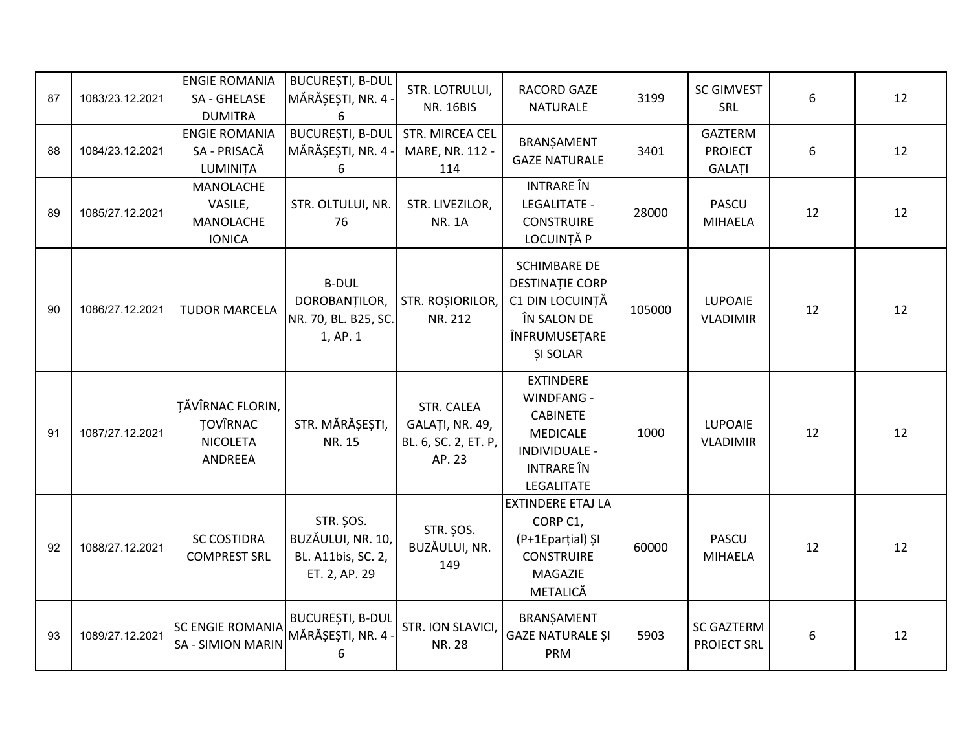| 87 | 1083/23.12.2021 | <b>ENGIE ROMANIA</b><br>SA - GHELASE<br><b>DUMITRA</b>                   | <b>BUCUREȘTI, B-DUL</b><br>MĂRĂȘEȘTI, NR. 4 -<br>6                           | STR. LOTRULUI,<br><b>NR. 16BIS</b>                              | RACORD GAZE<br><b>NATURALE</b>                                                                                           | 3199   | <b>SC GIMVEST</b><br>SRL                   | 6  | 12 |
|----|-----------------|--------------------------------------------------------------------------|------------------------------------------------------------------------------|-----------------------------------------------------------------|--------------------------------------------------------------------------------------------------------------------------|--------|--------------------------------------------|----|----|
| 88 | 1084/23.12.2021 | <b>ENGIE ROMANIA</b><br>SA - PRISACĂ<br>LUMINIȚA                         | <b>BUCUREȘTI, B-DUL</b><br>MĂRĂȘEȘTI, NR. 4 -<br>6                           | STR. MIRCEA CEL<br>MARE, NR. 112 -<br>114                       | BRANȘAMENT<br><b>GAZE NATURALE</b>                                                                                       | 3401   | <b>GAZTERM</b><br><b>PROIECT</b><br>GALATI | 6  | 12 |
| 89 | 1085/27.12.2021 | MANOLACHE<br>VASILE,<br>MANOLACHE<br><b>IONICA</b>                       | STR. OLTULUI, NR.<br>76                                                      | STR. LIVEZILOR,<br><b>NR. 1A</b>                                | <b>INTRARE</b> ÎN<br>LEGALITATE -<br><b>CONSTRUIRE</b><br>LOCUINȚĂ P                                                     | 28000  | PASCU<br><b>MIHAELA</b>                    | 12 | 12 |
| 90 | 1086/27.12.2021 | <b>TUDOR MARCELA</b>                                                     | <b>B-DUL</b><br>DOROBANȚILOR,<br>NR. 70, BL. B25, SC.<br>1, AP. 1            | STR. ROȘIORILOR,<br>NR. 212                                     | <b>SCHIMBARE DE</b><br><b>DESTINATIE CORP</b><br>C1 DIN LOCUINȚĂ<br>ÎN SALON DE<br>ÎNFRUMUSEȚARE<br><b>ŞI SOLAR</b>      | 105000 | <b>LUPOAIE</b><br><b>VLADIMIR</b>          | 12 | 12 |
| 91 | 1087/27.12.2021 | <b>TĂVÎRNAC FLORIN,</b><br><b>TOVÎRNAC</b><br><b>NICOLETA</b><br>ANDREEA | STR. MĂRĂȘEȘTI,<br>NR. 15                                                    | STR. CALEA<br>GALAȚI, NR. 49,<br>BL. 6, SC. 2, ET. P,<br>AP. 23 | <b>EXTINDERE</b><br>WINDFANG -<br><b>CABINETE</b><br><b>MEDICALE</b><br>INDIVIDUALE -<br><b>INTRARE</b> ÎN<br>LEGALITATE | 1000   | LUPOAIE<br><b>VLADIMIR</b>                 | 12 | 12 |
| 92 | 1088/27.12.2021 | <b>SC COSTIDRA</b><br><b>COMPREST SRL</b>                                | <b>STR. ŞOS.</b><br>BUZĂULUI, NR. 10,<br>BL. A11bis, SC. 2,<br>ET. 2, AP. 29 | <b>STR. ŞOS.</b><br>BUZĂULUI, NR.<br>149                        | <b>EXTINDERE ETAJ LA</b><br>CORP C1,<br>(P+1Eparțial) ȘI<br><b>CONSTRUIRE</b><br>MAGAZIE<br>METALICĂ                     | 60000  | <b>PASCU</b><br><b>MIHAELA</b>             | 12 | 12 |
| 93 | 1089/27.12.2021 | <b>SC ENGIE ROMANIA</b><br><b>SA - SIMION MARIN</b>                      | <b>BUCUREȘTI, B-DUL</b><br>MĂRĂȘEȘTI, NR. 4 -<br>6                           | STR. ION SLAVICI,<br><b>NR. 28</b>                              | BRANŞAMENT<br><b>GAZE NATURALE ȘI</b><br>PRM                                                                             | 5903   | <b>SC GAZTERM</b><br><b>PROIECT SRL</b>    | 6  | 12 |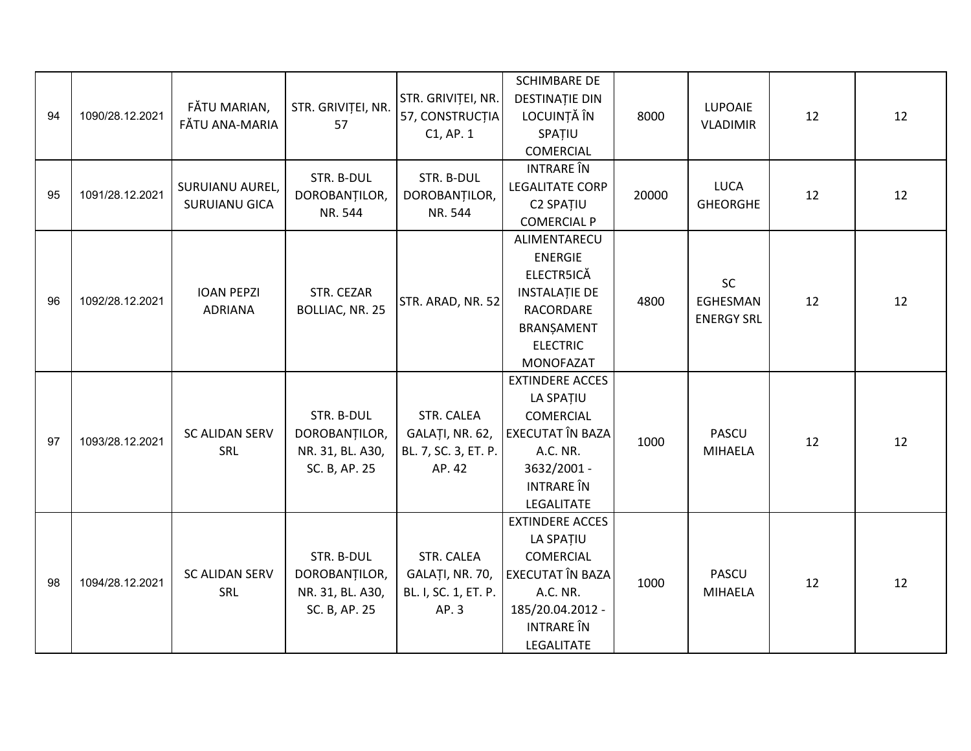| 94 | 1090/28.12.2021 | FĂTU MARIAN,<br>FĂTU ANA-MARIA          | STR. GRIVIȚEI, NR.<br>57                                         | STR. GRIVITEI, NR.<br>57, CONSTRUCTIA<br>$C1$ , AP. $1$         | <b>SCHIMBARE DE</b><br><b>DESTINAȚIE DIN</b><br>LOCUINȚĂ ÎN<br>SPAȚIU<br><b>COMERCIAL</b>                                                        | 8000  | <b>LUPOAIE</b><br><b>VLADIMIR</b>   | 12 | 12 |
|----|-----------------|-----------------------------------------|------------------------------------------------------------------|-----------------------------------------------------------------|--------------------------------------------------------------------------------------------------------------------------------------------------|-------|-------------------------------------|----|----|
| 95 | 1091/28.12.2021 | SURUIANU AUREL,<br><b>SURUIANU GICA</b> | STR. B-DUL<br>DOROBANȚILOR,<br>NR. 544                           | STR. B-DUL<br>DOROBANȚILOR,<br>NR. 544                          | <b>INTRARE</b> ÎN<br><b>LEGALITATE CORP</b><br><b>C2 SPATIU</b><br><b>COMERCIAL P</b>                                                            | 20000 | <b>LUCA</b><br><b>GHEORGHE</b>      | 12 | 12 |
| 96 | 1092/28.12.2021 | <b>IOAN PEPZI</b><br><b>ADRIANA</b>     | STR. CEZAR<br>BOLLIAC, NR. 25                                    | STR. ARAD, NR. 52                                               | ALIMENTARECU<br><b>ENERGIE</b><br><b>ELECTR5ICĂ</b><br><b>INSTALAȚIE DE</b><br>RACORDARE<br>BRANŞAMENT<br><b>ELECTRIC</b><br><b>MONOFAZAT</b>    | 4800  | SC<br>EGHESMAN<br><b>ENERGY SRL</b> | 12 | 12 |
| 97 | 1093/28.12.2021 | <b>SC ALIDAN SERV</b><br>SRL            | STR. B-DUL<br>DOROBANTILOR,<br>NR. 31, BL. A30,<br>SC. B, AP. 25 | STR. CALEA<br>GALAȚI, NR. 62,<br>BL. 7, SC. 3, ET. P.<br>AP. 42 | <b>EXTINDERE ACCES</b><br>LA SPATIU<br><b>COMERCIAL</b><br>EXECUTAT ÎN BAZA<br>A.C. NR.<br>3632/2001 -<br><b>INTRARE</b> ÎN<br><b>LEGALITATE</b> | 1000  | <b>PASCU</b><br><b>MIHAELA</b>      | 12 | 12 |
| 98 | 1094/28.12.2021 | <b>SC ALIDAN SERV</b><br>SRL            | STR. B-DUL<br>DOROBANTILOR,<br>NR. 31, BL. A30,<br>SC. B, AP. 25 | STR. CALEA<br>GALAȚI, NR. 70,<br>BL. I, SC. 1, ET. P.<br>AP. 3  | <b>EXTINDERE ACCES</b><br>LA SPATIU<br><b>COMERCIAL</b><br>EXECUTAT ÎN BAZA<br>A.C. NR.<br>185/20.04.2012 -<br><b>INTRARE</b> ÎN<br>LEGALITATE   | 1000  | <b>PASCU</b><br><b>MIHAELA</b>      | 12 | 12 |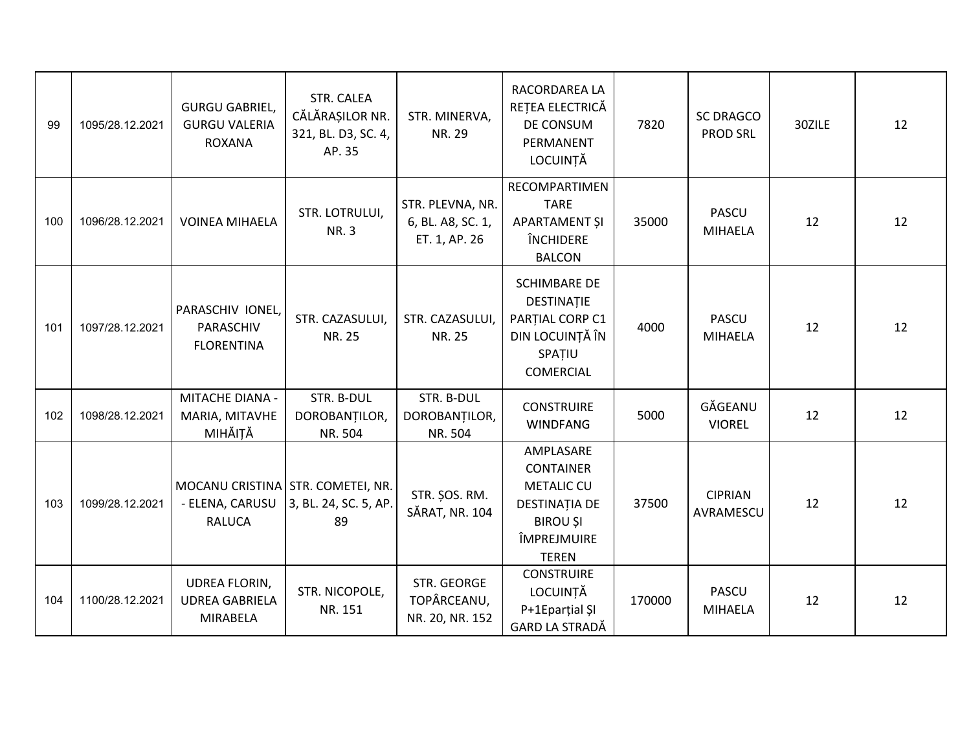| 99  | 1095/28.12.2021 | <b>GURGU GABRIEL,</b><br><b>GURGU VALERIA</b><br><b>ROXANA</b> | STR. CALEA<br>CĂLĂRAȘILOR NR.<br>321, BL. D3, SC. 4,<br>AP. 35   | STR. MINERVA,<br>NR. 29                                | RACORDAREA LA<br>REȚEA ELECTRICĂ<br>DE CONSUM<br>PERMANENT<br>LOCUINȚĂ                                                | 7820   | <b>SC DRAGCO</b><br><b>PROD SRL</b> | 30ZILE | 12 |
|-----|-----------------|----------------------------------------------------------------|------------------------------------------------------------------|--------------------------------------------------------|-----------------------------------------------------------------------------------------------------------------------|--------|-------------------------------------|--------|----|
| 100 | 1096/28.12.2021 | <b>VOINEA MIHAELA</b>                                          | STR. LOTRULUI,<br><b>NR.3</b>                                    | STR. PLEVNA, NR.<br>6, BL. A8, SC. 1,<br>ET. 1, AP. 26 | RECOMPARTIMEN<br><b>TARE</b><br>APARTAMENT ȘI<br>ÎNCHIDERE<br><b>BALCON</b>                                           | 35000  | <b>PASCU</b><br>MIHAELA             | 12     | 12 |
| 101 | 1097/28.12.2021 | PARASCHIV IONEL,<br>PARASCHIV<br><b>FLORENTINA</b>             | STR. CAZASULUI,<br><b>NR. 25</b>                                 | STR. CAZASULUI,<br>NR. 25                              | <b>SCHIMBARE DE</b><br>DESTINAȚIE<br>PARȚIAL CORP C1<br>DIN LOCUINȚĂ ÎN<br>SPATIU<br><b>COMERCIAL</b>                 | 4000   | <b>PASCU</b><br><b>MIHAELA</b>      | 12     | 12 |
| 102 | 1098/28.12.2021 | MITACHE DIANA -<br>MARIA, MITAVHE<br>MIHĂIȚĂ                   | STR. B-DUL<br>DOROBANTILOR,<br>NR. 504                           | STR. B-DUL<br>DOROBANȚILOR,<br>NR. 504                 | <b>CONSTRUIRE</b><br><b>WINDFANG</b>                                                                                  | 5000   | GĂGEANU<br><b>VIOREL</b>            | 12     | 12 |
| 103 | 1099/28.12.2021 | - ELENA, CARUSU<br><b>RALUCA</b>                               | MOCANU CRISTINA STR. COMETEI, NR.<br>3, BL. 24, SC. 5, AP.<br>89 | STR. ŞOS. RM.<br>SĂRAT, NR. 104                        | AMPLASARE<br><b>CONTAINER</b><br><b>METALIC CU</b><br>DESTINAȚIA DE<br><b>BIROU ȘI</b><br>ÎMPREJMUIRE<br><b>TEREN</b> | 37500  | <b>CIPRIAN</b><br>AVRAMESCU         | 12     | 12 |
| 104 | 1100/28.12.2021 | UDREA FLORIN,<br><b>UDREA GABRIELA</b><br><b>MIRABELA</b>      | STR. NICOPOLE,<br>NR. 151                                        | STR. GEORGE<br>TOPÂRCEANU,<br>NR. 20, NR. 152          | <b>CONSTRUIRE</b><br>LOCUINȚĂ<br>P+1Eparțial ȘI<br>GARD LA STRADĂ                                                     | 170000 | <b>PASCU</b><br><b>MIHAELA</b>      | 12     | 12 |